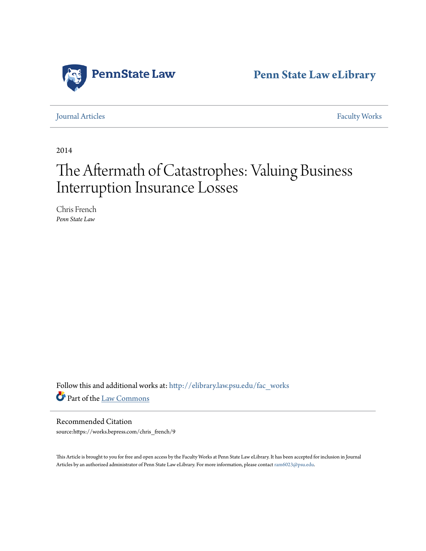

**[Penn State Law eLibrary](http://elibrary.law.psu.edu?utm_source=elibrary.law.psu.edu%2Ffac_works%2F140&utm_medium=PDF&utm_campaign=PDFCoverPages)**

[Journal Articles](http://elibrary.law.psu.edu/fac_works?utm_source=elibrary.law.psu.edu%2Ffac_works%2F140&utm_medium=PDF&utm_campaign=PDFCoverPages) [Faculty Works](http://elibrary.law.psu.edu/faculty?utm_source=elibrary.law.psu.edu%2Ffac_works%2F140&utm_medium=PDF&utm_campaign=PDFCoverPages)

2014

# The Aftermath of Catastrophes: Valuing Business Interruption Insurance Losses

Chris French *Penn State Law*

Follow this and additional works at: [http://elibrary.law.psu.edu/fac\\_works](http://elibrary.law.psu.edu/fac_works?utm_source=elibrary.law.psu.edu%2Ffac_works%2F140&utm_medium=PDF&utm_campaign=PDFCoverPages) Part of the [Law Commons](http://network.bepress.com/hgg/discipline/578?utm_source=elibrary.law.psu.edu%2Ffac_works%2F140&utm_medium=PDF&utm_campaign=PDFCoverPages)

Recommended Citation source:https://works.bepress.com/chris\_french/9

This Article is brought to you for free and open access by the Faculty Works at Penn State Law eLibrary. It has been accepted for inclusion in Journal Articles by an authorized administrator of Penn State Law eLibrary. For more information, please contact [ram6023@psu.edu](mailto:ram6023@psu.edu).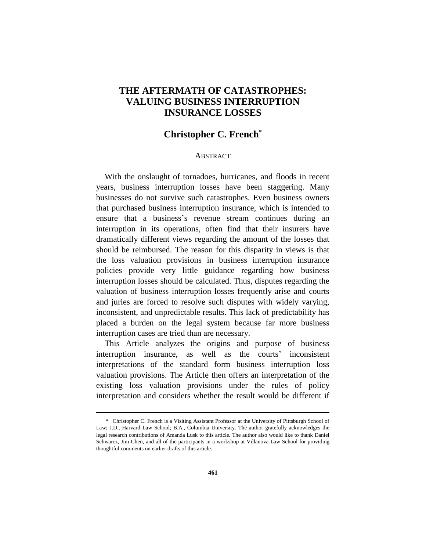# **THE AFTERMATH OF CATASTROPHES: VALUING BUSINESS INTERRUPTION INSURANCE LOSSES**

## **Christopher C. French\***

#### **ABSTRACT**

With the onslaught of tornadoes, hurricanes, and floods in recent years, business interruption losses have been staggering. Many businesses do not survive such catastrophes. Even business owners that purchased business interruption insurance, which is intended to ensure that a business's revenue stream continues during an interruption in its operations, often find that their insurers have dramatically different views regarding the amount of the losses that should be reimbursed. The reason for this disparity in views is that the loss valuation provisions in business interruption insurance policies provide very little guidance regarding how business interruption losses should be calculated. Thus, disputes regarding the valuation of business interruption losses frequently arise and courts and juries are forced to resolve such disputes with widely varying, inconsistent, and unpredictable results. This lack of predictability has placed a burden on the legal system because far more business interruption cases are tried than are necessary.

This Article analyzes the origins and purpose of business interruption insurance, as well as the courts' inconsistent interpretations of the standard form business interruption loss valuation provisions. The Article then offers an interpretation of the existing loss valuation provisions under the rules of policy interpretation and considers whether the result would be different if

<sup>\*</sup> Christopher C. French is a Visiting Assistant Professor at the University of Pittsburgh School of Law; J.D., Harvard Law School; B.A., Columbia University. The author gratefully acknowledges the legal research contributions of Amanda Lusk to this article. The author also would like to thank Daniel Schwarcz, Jim Chen, and all of the participants in a workshop at Villanova Law School for providing thoughtful comments on earlier drafts of this article.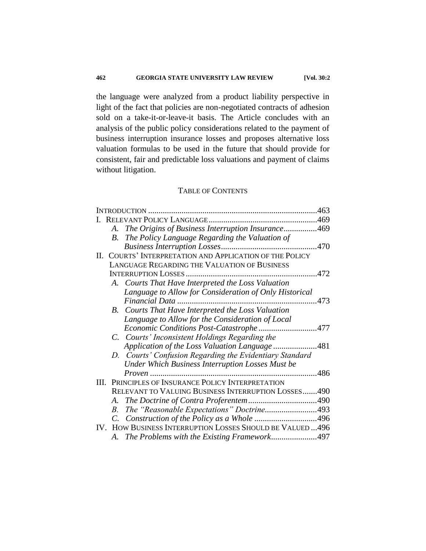the language were analyzed from a product liability perspective in light of the fact that policies are non-negotiated contracts of adhesion sold on a take-it-or-leave-it basis. The Article concludes with an analysis of the public policy considerations related to the payment of business interruption insurance losses and proposes alternative loss valuation formulas to be used in the future that should provide for consistent, fair and predictable loss valuations and payment of claims without litigation.

### TABLE OF CONTENTS

|  |             | A. The Origins of Business Interruption Insurance469       |  |
|--|-------------|------------------------------------------------------------|--|
|  |             | <b>B.</b> The Policy Language Regarding the Valuation of   |  |
|  |             |                                                            |  |
|  |             | II. COURTS' INTERPRETATION AND APPLICATION OF THE POLICY   |  |
|  |             | <b>LANGUAGE REGARDING THE VALUATION OF BUSINESS</b>        |  |
|  |             | 472                                                        |  |
|  |             | A. Courts That Have Interpreted the Loss Valuation         |  |
|  |             | Language to Allow for Consideration of Only Historical     |  |
|  |             |                                                            |  |
|  |             | B. Courts That Have Interpreted the Loss Valuation         |  |
|  |             | Language to Allow for the Consideration of Local           |  |
|  |             | Economic Conditions Post-Catastrophe 477                   |  |
|  |             | C. Courts' Inconsistent Holdings Regarding the             |  |
|  |             | Application of the Loss Valuation Language 481             |  |
|  |             | D. Courts' Confusion Regarding the Evidentiary Standard    |  |
|  |             | Under Which Business Interruption Losses Must be           |  |
|  |             |                                                            |  |
|  |             | III. PRINCIPLES OF INSURANCE POLICY INTERPRETATION         |  |
|  |             | RELEVANT TO VALUING BUSINESS INTERRUPTION LOSSES490        |  |
|  |             |                                                            |  |
|  | $B_{\cdot}$ | The "Reasonable Expectations" Doctrine493                  |  |
|  |             |                                                            |  |
|  |             | IV. HOW BUSINESS INTERRUPTION LOSSES SHOULD BE VALUED  496 |  |
|  |             | A. The Problems with the Existing Framework497             |  |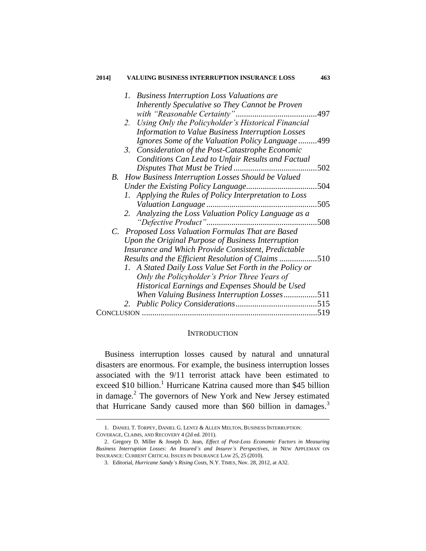| 1. Business Interruption Loss Valuations are<br>Inherently Speculative so They Cannot be Proven |
|-------------------------------------------------------------------------------------------------|
|                                                                                                 |
| Using Only the Policyholder's Historical Financial<br>2.                                        |
| Information to Value Business Interruption Losses                                               |
| Ignores Some of the Valuation Policy Language499                                                |
| Consideration of the Post-Catastrophe Economic<br>3.                                            |
| <b>Conditions Can Lead to Unfair Results and Factual</b>                                        |
| 502                                                                                             |
| B. How Business Interruption Losses Should be Valued                                            |
| 504                                                                                             |
| 1. Applying the Rules of Policy Interpretation to Loss                                          |
| 505                                                                                             |
| Analyzing the Loss Valuation Policy Language as a<br>2.                                         |
| 508                                                                                             |
| C. Proposed Loss Valuation Formulas That are Based                                              |
| Upon the Original Purpose of Business Interruption                                              |
| Insurance and Which Provide Consistent, Predictable                                             |
| Results and the Efficient Resolution of Claims 510                                              |
| 1. A Stated Daily Loss Value Set Forth in the Policy or                                         |
| Only the Policyholder's Prior Three Years of                                                    |
| Historical Earnings and Expenses Should be Used                                                 |
| When Valuing Business Interruption Losses511                                                    |
| 2.                                                                                              |
| 519                                                                                             |

#### **INTRODUCTION**

Business interruption losses caused by natural and unnatural disasters are enormous. For example, the business interruption losses associated with the 9/11 terrorist attack have been estimated to exceed \$10 billion.<sup>1</sup> Hurricane Katrina caused more than \$45 billion in damage.<sup>2</sup> The governors of New York and New Jersey estimated that Hurricane Sandy caused more than \$60 billion in damages.<sup>3</sup>

<sup>1.</sup> DANIEL T. TORPEY, DANIEL G. LENTZ & ALLEN MELTON, BUSINESS INTERRUPTION: COVERAGE, CLAIMS, AND RECOVERY 4 (2d ed. 2011).

<sup>2.</sup> Gregory D. Miller & Joseph D. Jean, *Effect of Post-Loss Economic Factors in Measuring Business Interruption Losses: An Insured's and Insurer's Perspectives*, *in* NEW APPLEMAN ON INSURANCE: CURRENT CRITICAL ISSUES IN INSURANCE LAW 25, 25 (2010).

<sup>3.</sup> Editorial, *Hurricane Sandy's Rising Costs*, N.Y. TIMES, Nov. 28, 2012, at A32.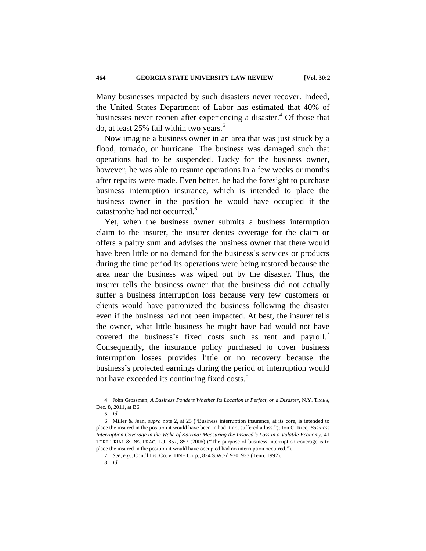Many businesses impacted by such disasters never recover. Indeed, the United States Department of Labor has estimated that 40% of businesses never reopen after experiencing a disaster.<sup>4</sup> Of those that do, at least 25% fail within two years.<sup>5</sup>

Now imagine a business owner in an area that was just struck by a flood, tornado, or hurricane. The business was damaged such that operations had to be suspended. Lucky for the business owner, however, he was able to resume operations in a few weeks or months after repairs were made. Even better, he had the foresight to purchase business interruption insurance, which is intended to place the business owner in the position he would have occupied if the catastrophe had not occurred.<sup>6</sup>

Yet, when the business owner submits a business interruption claim to the insurer, the insurer denies coverage for the claim or offers a paltry sum and advises the business owner that there would have been little or no demand for the business's services or products during the time period its operations were being restored because the area near the business was wiped out by the disaster. Thus, the insurer tells the business owner that the business did not actually suffer a business interruption loss because very few customers or clients would have patronized the business following the disaster even if the business had not been impacted. At best, the insurer tells the owner, what little business he might have had would not have covered the business's fixed costs such as rent and payroll. Consequently, the insurance policy purchased to cover business interruption losses provides little or no recovery because the business's projected earnings during the period of interruption would not have exceeded its continuing fixed costs.<sup>8</sup>

<sup>4.</sup> John Grossman, *A Business Ponders Whether Its Location is Perfect, or a Disaster*, N.Y. TIMES, Dec. 8, 2011, at B6.

<sup>5</sup>*. Id.*

<sup>6.</sup> Miller & Jean, *supra* note 2, at 25 ("Business interruption insurance, at its core, is intended to place the insured in the position it would have been in had it not suffered a loss."); Jon C. Rice, *Business Interruption Coverage in the Wake of Katrina: Measuring the Insured's Loss in a Volatile Economy*, 41 TORT TRIAL & INS. PRAC. L.J. 857, 857 (2006) ("The purpose of business interruption coverage is to place the insured in the position it would have occupied had no interruption occurred.").

<sup>7</sup>*. See, e.g.*, Cont'l Ins. Co. v. DNE Corp*.*, 834 S.W.2d 930, 933 (Tenn. 1992).

<sup>8</sup>*. Id.*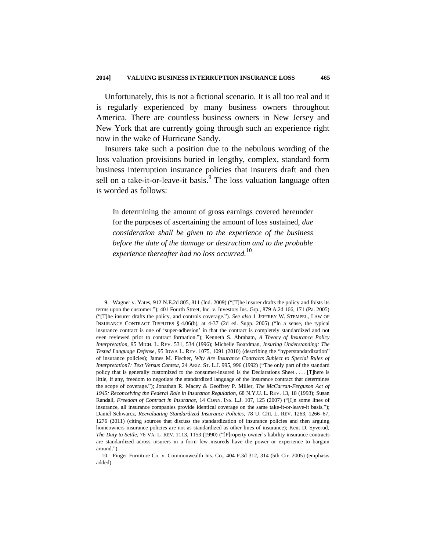Unfortunately, this is not a fictional scenario. It is all too real and it is regularly experienced by many business owners throughout America. There are countless business owners in New Jersey and New York that are currently going through such an experience right now in the wake of Hurricane Sandy.

Insurers take such a position due to the nebulous wording of the loss valuation provisions buried in lengthy, complex, standard form business interruption insurance policies that insurers draft and then sell on a take-it-or-leave-it basis.<sup>9</sup> The loss valuation language often is worded as follows:

In determining the amount of gross earnings covered hereunder for the purposes of ascertaining the amount of loss sustained, *due consideration shall be given to the experience of the business before the date of the damage or destruction and to the probable experience thereafter had no loss occurred.*<sup>10</sup>

<sup>9.</sup> Wagner v. Yates, 912 N.E.2d 805, 811 (Ind. 2009) ("[T]he insurer drafts the policy and foists its terms upon the customer."); 401 Fourth Street, Inc. v. Investors Ins. Grp., 879 A.2d 166, 171 (Pa. 2005) ("[T]he insurer drafts the policy, and controls coverage."). *See also* 1 JEFFREY W. STEMPEL, LAW OF INSURANCE CONTRACT DISPUTES § 4.06(b), at 4-37 (2d ed. Supp. 2005) ("In a sense, the typical insurance contract is one of 'super-adhesion' in that the contract is completely standardized and not even reviewed prior to contract formation."); Kenneth S. Abraham, *A Theory of Insurance Policy Interpretation,* 95 MICH. L. REV. 531, 534 (1996); Michelle Boardman, *Insuring Understanding: The Tested Language Defense*, 95 IOWA L. REV. 1075, 1091 (2010) (describing the "hyperstandardization" of insurance policies); James M. Fischer, *Why Are Insurance Contracts Subject to Special Rules of Interpretation?: Text Versus Context*, 24 ARIZ. ST. L.J. 995, 996 (1992) ("The only part of the standard policy that is generally customized to the consumer-insured is the Declarations Sheet . . . . [T]here is little, if any, freedom to negotiate the standardized language of the insurance contract that determines the scope of coverage."); Jonathan R. Macey & Geoffrey P. Miller, *The McCarran-Ferguson Act of 1945: Reconceiving the Federal Role in Insurance Regulation*, 68 N.Y.U. L. REV. 13, 18 (1993); Susan Randall, *Freedom of Contract in Insurance*, 14 CONN. INS. L.J. 107, 125 (2007) ("[I]n some lines of insurance, all insurance companies provide identical coverage on the same take-it-or-leave-it basis."); Daniel Schwarcz, *Reevaluating Standardized Insurance Policies,* 78 U. CHI. L. REV. 1263, 1266–67, 1276 (2011) (citing sources that discuss the standardization of insurance policies and then arguing homeowners insurance policies are not as standardized as other lines of insurance); Kent D. Syverud, *The Duty to Settle*, 76 VA. L. REV. 1113, 1153 (1990) ("[P]roperty owner's liability insurance contracts are standardized across insurers in a form few insureds have the power or experience to bargain around.").

<sup>10.</sup> Finger Furniture Co. v. Commonwealth Ins. Co., 404 F.3d 312, 314 (5th Cir. 2005) (emphasis added).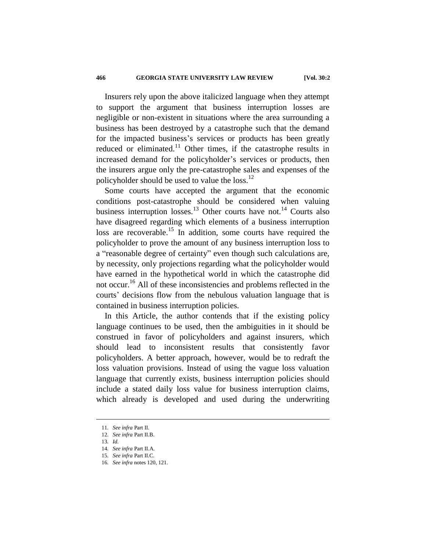Insurers rely upon the above italicized language when they attempt to support the argument that business interruption losses are negligible or non-existent in situations where the area surrounding a business has been destroyed by a catastrophe such that the demand for the impacted business's services or products has been greatly reduced or eliminated.<sup>11</sup> Other times, if the catastrophe results in increased demand for the policyholder's services or products, then the insurers argue only the pre-catastrophe sales and expenses of the policyholder should be used to value the loss.<sup>12</sup>

Some courts have accepted the argument that the economic conditions post-catastrophe should be considered when valuing business interruption losses.<sup>13</sup> Other courts have not.<sup>14</sup> Courts also have disagreed regarding which elements of a business interruption loss are recoverable.<sup>15</sup> In addition, some courts have required the policyholder to prove the amount of any business interruption loss to a "reasonable degree of certainty" even though such calculations are, by necessity, only projections regarding what the policyholder would have earned in the hypothetical world in which the catastrophe did not occur.<sup>16</sup> All of these inconsistencies and problems reflected in the courts' decisions flow from the nebulous valuation language that is contained in business interruption policies.

In this Article, the author contends that if the existing policy language continues to be used, then the ambiguities in it should be construed in favor of policyholders and against insurers, which should lead to inconsistent results that consistently favor policyholders. A better approach, however, would be to redraft the loss valuation provisions. Instead of using the vague loss valuation language that currently exists, business interruption policies should include a stated daily loss value for business interruption claims, which already is developed and used during the underwriting

<sup>11</sup>*. See infra* Part II.

<sup>12</sup>*. See infra* Part II.B.

<sup>13</sup>*. Id.*

<sup>14</sup>*. See infra* Part II.A.

<sup>15</sup>*. See infra* Part II.C*.*

<sup>16</sup>*. See infra* notes 120, 121.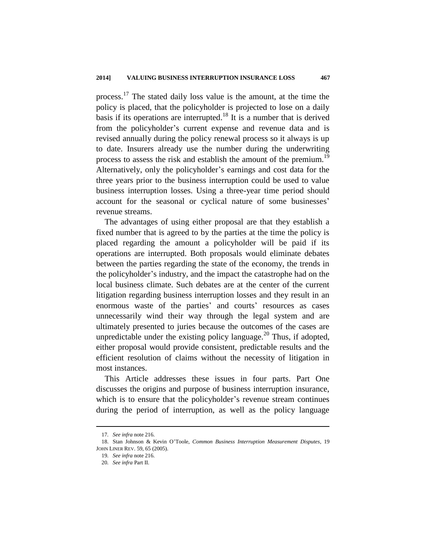process.<sup>17</sup> The stated daily loss value is the amount, at the time the policy is placed, that the policyholder is projected to lose on a daily basis if its operations are interrupted.<sup>18</sup> It is a number that is derived from the policyholder's current expense and revenue data and is revised annually during the policy renewal process so it always is up to date. Insurers already use the number during the underwriting process to assess the risk and establish the amount of the premium.<sup>19</sup> Alternatively, only the policyholder's earnings and cost data for the three years prior to the business interruption could be used to value business interruption losses. Using a three-year time period should account for the seasonal or cyclical nature of some businesses' revenue streams.

The advantages of using either proposal are that they establish a fixed number that is agreed to by the parties at the time the policy is placed regarding the amount a policyholder will be paid if its operations are interrupted. Both proposals would eliminate debates between the parties regarding the state of the economy, the trends in the policyholder's industry, and the impact the catastrophe had on the local business climate. Such debates are at the center of the current litigation regarding business interruption losses and they result in an enormous waste of the parties' and courts' resources as cases unnecessarily wind their way through the legal system and are ultimately presented to juries because the outcomes of the cases are unpredictable under the existing policy language.<sup>20</sup> Thus, if adopted, either proposal would provide consistent, predictable results and the efficient resolution of claims without the necessity of litigation in most instances.

This Article addresses these issues in four parts. Part One discusses the origins and purpose of business interruption insurance, which is to ensure that the policyholder's revenue stream continues during the period of interruption, as well as the policy language

<sup>17</sup>*. See infra* note 216.

<sup>18.</sup> Stan Johnson & Kevin O'Toole, *Common Business Interruption Measurement Disputes*, 19 JOHN LINER REV. 59, 65 (2005).

<sup>19</sup>*. See infra* note 216.

<sup>20</sup>*. See infra* Part II.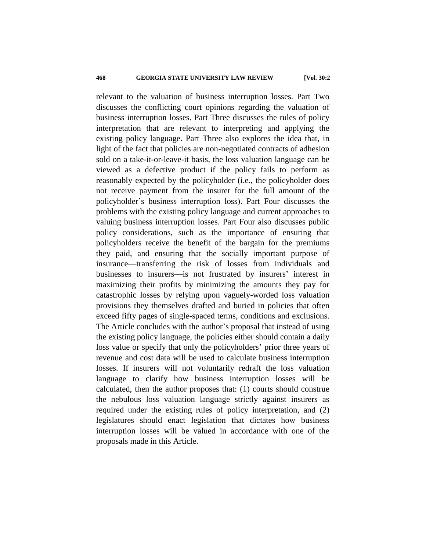relevant to the valuation of business interruption losses. Part Two discusses the conflicting court opinions regarding the valuation of business interruption losses. Part Three discusses the rules of policy interpretation that are relevant to interpreting and applying the existing policy language. Part Three also explores the idea that, in light of the fact that policies are non-negotiated contracts of adhesion sold on a take-it-or-leave-it basis, the loss valuation language can be viewed as a defective product if the policy fails to perform as reasonably expected by the policyholder (i.e., the policyholder does not receive payment from the insurer for the full amount of the policyholder's business interruption loss). Part Four discusses the problems with the existing policy language and current approaches to valuing business interruption losses. Part Four also discusses public policy considerations, such as the importance of ensuring that policyholders receive the benefit of the bargain for the premiums they paid, and ensuring that the socially important purpose of insurance—transferring the risk of losses from individuals and businesses to insurers—is not frustrated by insurers' interest in maximizing their profits by minimizing the amounts they pay for catastrophic losses by relying upon vaguely-worded loss valuation provisions they themselves drafted and buried in policies that often exceed fifty pages of single-spaced terms, conditions and exclusions. The Article concludes with the author's proposal that instead of using the existing policy language, the policies either should contain a daily loss value or specify that only the policyholders' prior three years of revenue and cost data will be used to calculate business interruption losses. If insurers will not voluntarily redraft the loss valuation language to clarify how business interruption losses will be calculated, then the author proposes that: (1) courts should construe the nebulous loss valuation language strictly against insurers as required under the existing rules of policy interpretation, and (2) legislatures should enact legislation that dictates how business interruption losses will be valued in accordance with one of the proposals made in this Article.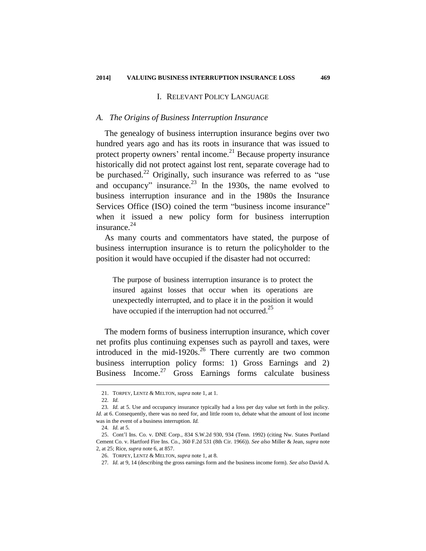#### I. RELEVANT POLICY LANGUAGE

#### *A. The Origins of Business Interruption Insurance*

The genealogy of business interruption insurance begins over two hundred years ago and has its roots in insurance that was issued to protect property owners' rental income.<sup>21</sup> Because property insurance historically did not protect against lost rent, separate coverage had to be purchased.<sup>22</sup> Originally, such insurance was referred to as "use and occupancy" insurance. $^{23}$  In the 1930s, the name evolved to business interruption insurance and in the 1980s the Insurance Services Office (ISO) coined the term "business income insurance" when it issued a new policy form for business interruption insurance. $24$ 

As many courts and commentators have stated, the purpose of business interruption insurance is to return the policyholder to the position it would have occupied if the disaster had not occurred:

The purpose of business interruption insurance is to protect the insured against losses that occur when its operations are unexpectedly interrupted, and to place it in the position it would have occupied if the interruption had not occurred.<sup>25</sup>

The modern forms of business interruption insurance, which cover net profits plus continuing expenses such as payroll and taxes, were introduced in the mid-1920s. $26$  There currently are two common business interruption policy forms: 1) Gross Earnings and 2) Business Income.<sup>27</sup> Gross Earnings forms calculate business

<sup>21.</sup> TORPEY, LENTZ & MELTON, *supra* note 1, at 1.

<sup>22</sup>*. Id.*

<sup>23</sup>*. Id.* at 5. Use and occupancy insurance typically had a loss per day value set forth in the policy. *Id.* at 6. Consequently, there was no need for, and little room to, debate what the amount of lost income was in the event of a business interruption. *Id.*

<sup>24</sup>*. Id.* at 5*.*

<sup>25.</sup> Cont'l Ins. Co. v. DNE Corp*.*, 834 S.W.2d 930, 934 (Tenn. 1992) (citing Nw. States Portland Cement Co. v. Hartford Fire Ins. Co*.*, 360 F.2d 531 (8th Cir. 1966)). *See also* Miller & Jean, *supra* note 2, at 25; Rice, *supra* note 6, at 857.

<sup>26.</sup> TORPEY, LENTZ & MELTON, *supra* note 1, at 8.

<sup>27</sup>*. Id.* at 9, 14 (describing the gross earnings form and the business income form). *See also* David A.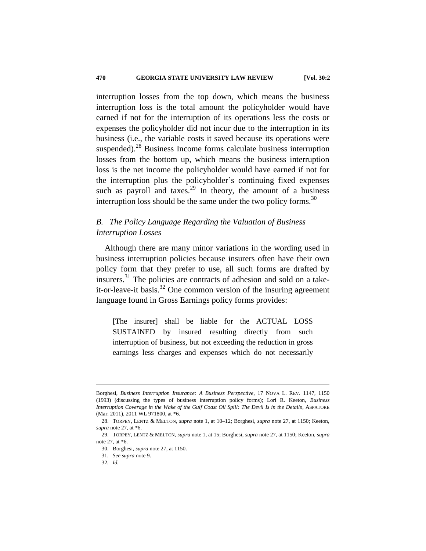interruption losses from the top down, which means the business interruption loss is the total amount the policyholder would have earned if not for the interruption of its operations less the costs or expenses the policyholder did not incur due to the interruption in its business (i.e., the variable costs it saved because its operations were suspended). $^{28}$  Business Income forms calculate business interruption losses from the bottom up, which means the business interruption loss is the net income the policyholder would have earned if not for the interruption plus the policyholder's continuing fixed expenses such as payroll and taxes.<sup>29</sup> In theory, the amount of a business interruption loss should be the same under the two policy forms.<sup>30</sup>

## *B. The Policy Language Regarding the Valuation of Business Interruption Losses*

Although there are many minor variations in the wording used in business interruption policies because insurers often have their own policy form that they prefer to use, all such forms are drafted by insurers.<sup>31</sup> The policies are contracts of adhesion and sold on a takeit-or-leave-it basis.<sup>32</sup> One common version of the insuring agreement language found in Gross Earnings policy forms provides:

[The insurer] shall be liable for the ACTUAL LOSS SUSTAINED by insured resulting directly from such interruption of business, but not exceeding the reduction in gross earnings less charges and expenses which do not necessarily

Borghesi, *Business Interruption Insurance: A Business Perspective*, 17 NOVA L. REV. 1147, 1150 (1993) (discussing the types of business interruption policy forms); Lori R. Keeton, *Business Interruption Coverage in the Wake of the Gulf Coast Oil Spill: The Devil Is in the Details*, ASPATORE (Mar. 2011), 2011 WL 971800, at \*6.

<sup>28.</sup> TORPEY, LENTZ & MELTON, *supra* note 1, at 10–12; Borghesi, *supra* note 27, at 1150; Keeton, *supra* note 27, at \*6.

<sup>29.</sup> TORPEY, LENTZ & MELTON, *supra* note 1, at 15; Borghesi, *supra* note 27, at 1150; Keeton, *supra* note 27, at \*6.

<sup>30.</sup> Borghesi, *supra* note 27, at 1150.

<sup>31</sup>*. See supra* note 9.

<sup>32</sup>*. Id.*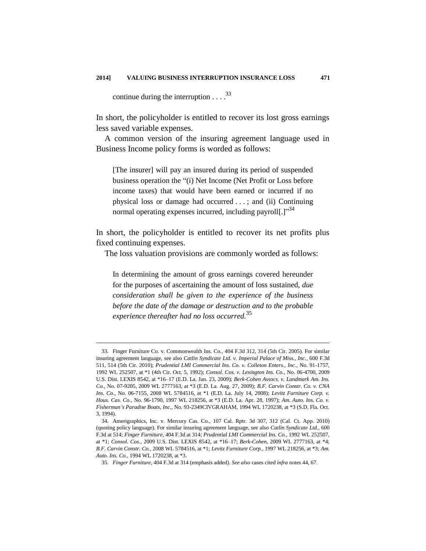continue during the interruption  $\ldots$ <sup>33</sup>

1

In short, the policyholder is entitled to recover its lost gross earnings less saved variable expenses.

A common version of the insuring agreement language used in Business Income policy forms is worded as follows:

[The insurer] will pay an insured during its period of suspended business operation the "(i) Net Income (Net Profit or Loss before income taxes) that would have been earned or incurred if no physical loss or damage had occurred . . . ; and (ii) Continuing normal operating expenses incurred, including payroll $[.]$ <sup>34</sup>

In short, the policyholder is entitled to recover its net profits plus fixed continuing expenses.

The loss valuation provisions are commonly worded as follows:

In determining the amount of gross earnings covered hereunder for the purposes of ascertaining the amount of loss sustained, *due consideration shall be given to the experience of the business before the date of the damage or destruction and to the probable experience thereafter had no loss occurred.*<sup>35</sup>

<sup>33.</sup> Finger Furniture Co. v. Commonwealth Ins. Co*.*, 404 F.3d 312, 314 (5th Cir. 2005). For similar insuring agreement language, see also *Catlin Syndicate Ltd. v. Imperial Palace of Miss., Inc.*, 600 F.3d 511, 514 (5th Cir. 2010); *Prudential LMI Commercial Ins. Co. v. Colleton Enters., Inc.*, No. 91-1757, 1992 WL 252507, at \*1 (4th Cir. Oct. 5, 1992); *Consol. Cos. v. Lexington Ins. Co.*, No. 06-4700, 2009 U.S. Dist. LEXIS 8542, at \*16–17 (E.D. La. Jan. 23, 2009); *Berk-Cohen Assocs. v. Landmark Am. Ins. Co.*, No. 07-9205, 2009 WL 2777163, at \*3 (E.D. La. Aug. 27, 2009); *B.F. Carvin Constr. Co. v. CNA Ins. Co.*, No. 06-7155, 2008 WL 5784516, at \*1 (E.D. La. July 14, 2008); *Levitz Furniture Corp. v. Hous. Cas. Co.*, No. 96-1790, 1997 WL 218256, at \*3 (E.D. La. Apr. 28, 1997); *Am. Auto. Ins. Co. v. Fisherman's Paradise Boats, Inc.*, No. 93-2349CIVGRAHAM, 1994 WL 1720238, at \*3 (S.D. Fla. Oct. 3, 1994).

<sup>34.</sup> Amerigraphics, Inc. v. Mercury Cas. Co*.*, 107 Cal. Rptr. 3d 307, 312 (Cal. Ct. App. 2010) (quoting policy language). For similar insuring agreement language, see also *Catlin Syndicate Ltd.*, 600 F.3d at 514; *Finger Furniture*, 404 F.3d at 314; *Prudential LMI Commercial Ins. Co.*, 1992 WL 252507, at \*1; *Consol. Cos.*, 2009 U.S. Dist. LEXIS 8542, at \*16–17; *Berk-Cohen*, 2009 WL 2777163, at \*4; *B.F. Carvin Constr. Co.,* 2008 WL 5784516, at \*1; *Levitz Furniture Corp.*, 1997 WL 218256, at \*3; *Am. Auto. Ins. Co.*, 1994 WL 1720238, at \*3.

<sup>35</sup>*. Finger Furniture*, 404 F.3d at 314 (emphasis added). *See also* cases cited *infra* notes 44, 67.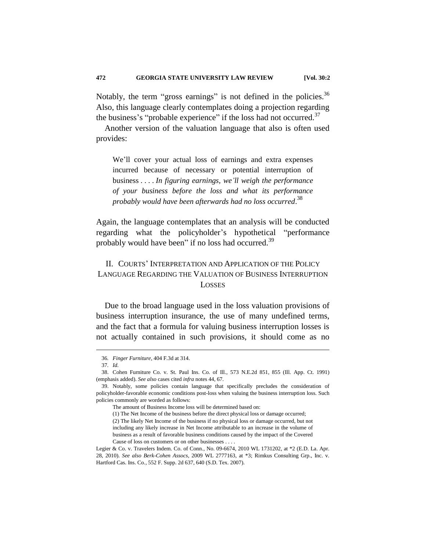Notably, the term "gross earnings" is not defined in the policies.<sup>36</sup> Also, this language clearly contemplates doing a projection regarding the business's "probable experience" if the loss had not occurred. $37$ 

Another version of the valuation language that also is often used provides:

We'll cover your actual loss of earnings and extra expenses incurred because of necessary or potential interruption of business . . . . *In figuring earnings, we'll weigh the performance of your business before the loss and what its performance probably would have been afterwards had no loss occurred*. 38

Again, the language contemplates that an analysis will be conducted regarding what the policyholder's hypothetical "performance probably would have been" if no loss had occurred.<sup>39</sup>

## II. COURTS' INTERPRETATION AND APPLICATION OF THE POLICY LANGUAGE REGARDING THE VALUATION OF BUSINESS INTERRUPTION **LOSSES**

Due to the broad language used in the loss valuation provisions of business interruption insurance, the use of many undefined terms, and the fact that a formula for valuing business interruption losses is not actually contained in such provisions, it should come as no

<sup>36</sup>*. Finger Furniture*, 404 F.3d at 314.

<sup>37</sup>*. Id.*

<sup>38.</sup> Cohen Furniture Co. v. St. Paul Ins. Co. of Ill*.*, 573 N.E.2d 851, 855 (Ill. App. Ct. 1991) (emphasis added). *See also* cases cited *infra* notes 44, 67.

<sup>39.</sup> Notably, some policies contain language that specifically precludes the consideration of policyholder-favorable economic conditions post-loss when valuing the business interruption loss. Such policies commonly are worded as follows:

The amount of Business Income loss will be determined based on:

<sup>(1)</sup> The Net Income of the business before the direct physical loss or damage occurred;

<sup>(2)</sup> The likely Net Income of the business if no physical loss or damage occurred, but not including any likely increase in Net Income attributable to an increase in the volume of business as a result of favorable business conditions caused by the impact of the Covered Cause of loss on customers or on other businesses . . . .

Legier & Co. v. Travelers Indem. Co. of Conn*.*, No. 09-6674, 2010 WL 1731202, at \*2 (E.D. La. Apr. 28, 2010). *See also Berk-Cohen Assocs*, 2009 WL 2777163, at \*3; Rimkus Consulting Grp., Inc. v. Hartford Cas. Ins. Co*.*, 552 F. Supp. 2d 637, 640 (S.D. Tex. 2007).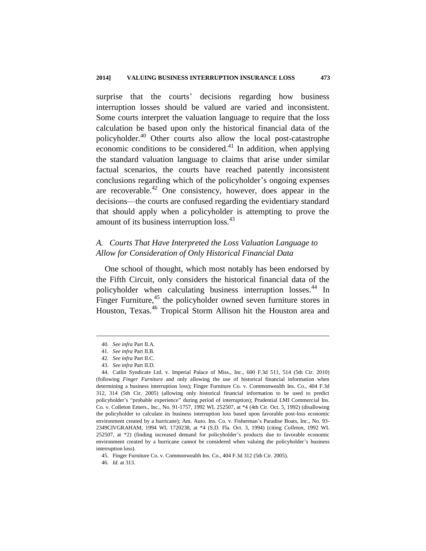surprise that the courts' decisions regarding how business interruption losses should be valued are varied and inconsistent. Some courts interpret the valuation language to require that the loss calculation be based upon only the historical financial data of the policyholder.<sup>40</sup> Other courts also allow the local post-catastrophe economic conditions to be considered.<sup>41</sup> In addition, when applying the standard valuation language to claims that arise under similar factual scenarios, the courts have reached patently inconsistent conclusions regarding which of the policyholder's ongoing expenses are recoverable.<sup>42</sup> One consistency, however, does appear in the decisions—the courts are confused regarding the evidentiary standard that should apply when a policyholder is attempting to prove the amount of its business interruption loss.<sup>43</sup>

## *A. Courts That Have Interpreted the Loss Valuation Language to Allow for Consideration of Only Historical Financial Data*

One school of thought, which most notably has been endorsed by the Fifth Circuit, only considers the historical financial data of the policyholder when calculating business interruption losses.<sup>44</sup> In Finger Furniture, $45$  the policyholder owned seven furniture stores in Houston, Texas.<sup>46</sup> Tropical Storm Allison hit the Houston area and

<sup>40</sup>*. See infra* Part II.A.

<sup>41</sup>*. See infra* Part II.B*.*

<sup>42</sup>*. See infra* Part II.C.

<sup>43</sup>*. See infra* Part II.D.

<sup>44.</sup> Catlin Syndicate Ltd. v. Imperial Palace of Miss., Inc., 600 F.3d 511, 514 (5th Cir. 2010) (following *Finger Furniture* and only allowing the use of historical financial information when determining a business interruption loss); Finger Furniture Co. v. Commonwealth Ins. Co., 404 F.3d 312, 314 (5th Cir. 2005) (allowing only historical financial information to be used to predict policyholder's "probable experience" during period of interruption); Prudential LMI Commercial Ins. Co. v. Colleton Enters., Inc., No. 91-1757, 1992 WL 252507, at \*4 (4th Cir. Oct. 5, 1992) (disallowing the policyholder to calculate its business interruption loss based upon favorable post-loss economic environment created by a hurricane); Am. Auto. Ins. Co. v. Fisherman's Paradise Boats, Inc., No. 93- 2349CIVGRAHAM, 1994 WL 1720238, at \*4 (S.D. Fla. Oct. 3, 1994) (citing *Colleton*, 1992 WL 252507, at \*2) (finding increased demand for policyholder's products due to favorable economic environment created by a hurricane cannot be considered when valuing the policyholder's business interruption loss).

<sup>45.</sup> Finger Furniture Co. v. Commonwealth Ins. Co., 404 F.3d 312 (5th Cir. 2005).

<sup>46</sup>*. Id.* at 313.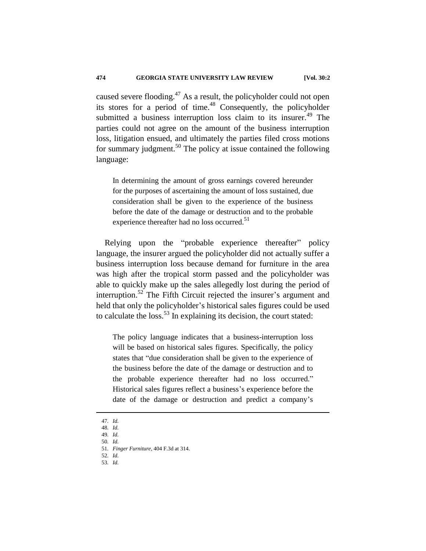caused severe flooding.<sup>47</sup> As a result, the policyholder could not open its stores for a period of time. $48$  Consequently, the policyholder submitted a business interruption loss claim to its insurer.<sup>49</sup> The parties could not agree on the amount of the business interruption loss, litigation ensued, and ultimately the parties filed cross motions for summary judgment.<sup>50</sup> The policy at issue contained the following language:

In determining the amount of gross earnings covered hereunder for the purposes of ascertaining the amount of loss sustained, due consideration shall be given to the experience of the business before the date of the damage or destruction and to the probable experience thereafter had no loss occurred.<sup>51</sup>

Relying upon the "probable experience thereafter" policy language, the insurer argued the policyholder did not actually suffer a business interruption loss because demand for furniture in the area was high after the tropical storm passed and the policyholder was able to quickly make up the sales allegedly lost during the period of interruption.<sup>52</sup> The Fifth Circuit rejected the insurer's argument and held that only the policyholder's historical sales figures could be used to calculate the loss.<sup>53</sup> In explaining its decision, the court stated:

The policy language indicates that a business-interruption loss will be based on historical sales figures. Specifically, the policy states that "due consideration shall be given to the experience of the business before the date of the damage or destruction and to the probable experience thereafter had no loss occurred." Historical sales figures reflect a business's experience before the date of the damage or destruction and predict a company's

<sup>47</sup>*. Id.*

<sup>48</sup>*. Id.*

<sup>49</sup>*. Id.* 50*. Id.*

<sup>51</sup>*. Finger Furniture*, 404 F.3d at 314.

<sup>52</sup>*. Id.*

<sup>53</sup>*. Id.*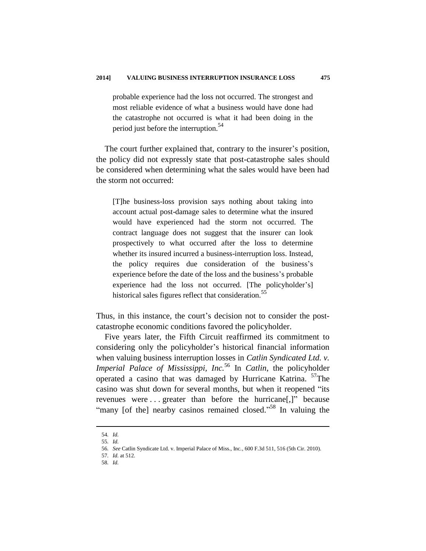probable experience had the loss not occurred. The strongest and most reliable evidence of what a business would have done had the catastrophe not occurred is what it had been doing in the period just before the interruption.<sup>54</sup>

The court further explained that, contrary to the insurer's position, the policy did not expressly state that post-catastrophe sales should be considered when determining what the sales would have been had the storm not occurred:

[T]he business-loss provision says nothing about taking into account actual post-damage sales to determine what the insured would have experienced had the storm not occurred. The contract language does not suggest that the insurer can look prospectively to what occurred after the loss to determine whether its insured incurred a business-interruption loss. Instead, the policy requires due consideration of the business's experience before the date of the loss and the business's probable experience had the loss not occurred. [The policyholder's] historical sales figures reflect that consideration.<sup>55</sup>

Thus, in this instance, the court's decision not to consider the postcatastrophe economic conditions favored the policyholder.

Five years later, the Fifth Circuit reaffirmed its commitment to considering only the policyholder's historical financial information when valuing business interruption losses in *Catlin Syndicated Ltd. v. Imperial Palace of Mississippi, Inc.*<sup>56</sup> In *Catlin*, the policyholder operated a casino that was damaged by Hurricane Katrina. <sup>57</sup>The casino was shut down for several months, but when it reopened "its revenues were . . . greater than before the hurricane[,]" because "many [of the] nearby casinos remained closed."<sup>58</sup> In valuing the

<sup>54</sup>*. Id.*

<sup>55</sup>*. Id.*

<sup>56</sup>*. See* Catlin Syndicate Ltd. v. Imperial Palace of Miss., Inc.*,* 600 F.3d 511, 516 (5th Cir. 2010).

<sup>57</sup>*. Id.* at 512.

<sup>58</sup>*. Id.*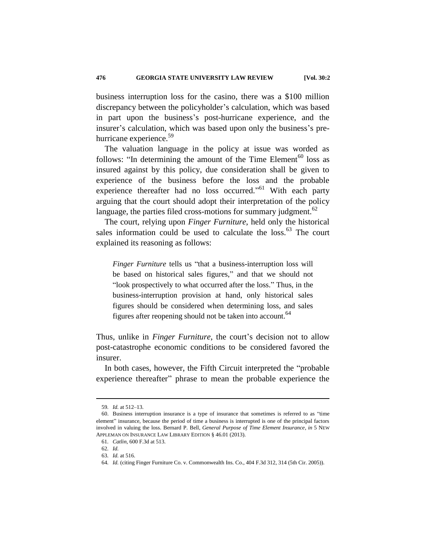business interruption loss for the casino, there was a \$100 million discrepancy between the policyholder's calculation, which was based in part upon the business's post-hurricane experience, and the insurer's calculation, which was based upon only the business's prehurricane experience.<sup>59</sup>

The valuation language in the policy at issue was worded as follows: "In determining the amount of the Time Element<sup>60</sup> loss as insured against by this policy, due consideration shall be given to experience of the business before the loss and the probable experience thereafter had no loss occurred."<sup>61</sup> With each party arguing that the court should adopt their interpretation of the policy language, the parties filed cross-motions for summary judgment.<sup>62</sup>

The court, relying upon *Finger Furniture*, held only the historical sales information could be used to calculate the loss.<sup>63</sup> The court explained its reasoning as follows:

*Finger Furniture* tells us "that a business-interruption loss will be based on historical sales figures," and that we should not "look prospectively to what occurred after the loss." Thus, in the business-interruption provision at hand, only historical sales figures should be considered when determining loss, and sales figures after reopening should not be taken into account.<sup>64</sup>

Thus, unlike in *Finger Furniture*, the court's decision not to allow post-catastrophe economic conditions to be considered favored the insurer.

In both cases, however, the Fifth Circuit interpreted the "probable experience thereafter" phrase to mean the probable experience the

<sup>59</sup>*. Id.* at 512–13.

<sup>60.</sup> Business interruption insurance is a type of insurance that sometimes is referred to as "time element" insurance, because the period of time a business is interrupted is one of the principal factors involved in valuing the loss. Bernard P. Bell, *General Purpose of Time Element Insurance*, *in* 5 NEW APPLEMAN ON INSURANCE LAW LIBRARY EDITION § 46.01 (2013).

<sup>61</sup>*. Catlin*, 600 F.3d at 513.

<sup>62</sup>*. Id.*

<sup>63</sup>*. Id.* at 516.

<sup>64</sup>*. Id.* (citing Finger Furniture Co. v. Commonwealth Ins. Co., 404 F.3d 312, 314 (5th Cir. 2005)).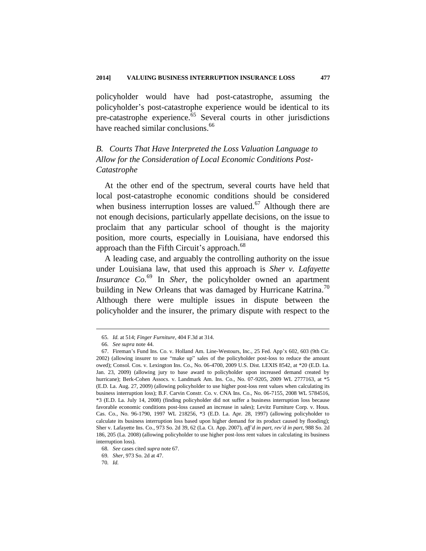policyholder would have had post-catastrophe, assuming the policyholder's post-catastrophe experience would be identical to its pre-catastrophe experience.<sup>65</sup> Several courts in other jurisdictions have reached similar conclusions.<sup>66</sup>

# *B. Courts That Have Interpreted the Loss Valuation Language to Allow for the Consideration of Local Economic Conditions Post-Catastrophe*

At the other end of the spectrum, several courts have held that local post-catastrophe economic conditions should be considered when business interruption losses are valued.<sup>67</sup> Although there are not enough decisions, particularly appellate decisions, on the issue to proclaim that any particular school of thought is the majority position, more courts, especially in Louisiana, have endorsed this approach than the Fifth Circuit's approach.<sup>68</sup>

A leading case, and arguably the controlling authority on the issue under Louisiana law, that used this approach is *Sher v. Lafayette Insurance Co.* <sup>69</sup> In *Sher*, the policyholder owned an apartment building in New Orleans that was damaged by Hurricane Katrina.<sup>70</sup> Although there were multiple issues in dispute between the policyholder and the insurer, the primary dispute with respect to the

<sup>65</sup>*. Id.* at 514; *Finger Furniture*, 404 F.3d at 314.

<sup>66</sup>*. See supra* note 44.

<sup>67.</sup> Fireman's Fund Ins. Co. v. Holland Am. Line-Westours, Inc*.*, 25 Fed. App'x 602, 603 (9th Cir. 2002) (allowing insurer to use "make up" sales of the policyholder post-loss to reduce the amount owed); Consol. Cos. v. Lexington Ins. Co., No. 06-4700, 2009 U.S. Dist. LEXIS 8542, at \*20 (E.D. La. Jan. 23, 2009) (allowing jury to base award to policyholder upon increased demand created by hurricane); Berk-Cohen Assocs. v. Landmark Am. Ins. Co., No. 07-9205, 2009 WL 2777163, at \*5 (E.D. La. Aug. 27, 2009) (allowing policyholder to use higher post-loss rent values when calculating its business interruption loss); B.F. Carvin Constr. Co. v. CNA Ins. Co., No. 06-7155, 2008 WL 5784516, \*3 (E.D. La. July 14, 2008) (finding policyholder did not suffer a business interruption loss because favorable economic conditions post-loss caused an increase in sales); Levitz Furniture Corp. v. Hous. Cas. Co., No. 96-1790, 1997 WL 218256, \*3 (E.D. La. Apr. 28, 1997) (allowing policyholder to calculate its business interruption loss based upon higher demand for its product caused by flooding); Sher v. Lafayette Ins. Co., 973 So. 2d 39, 62 (La. Ct. App. 2007), *aff'd in part*, *rev'd in part*, 988 So. 2d 186, 205 (La. 2008) (allowing policyholder to use higher post-loss rent values in calculating its business interruption loss).

<sup>68</sup>*. See* cases cited *supra* note 67.

<sup>69</sup>*. Sher*, 973 So. 2d at 47.

<sup>70</sup>*. Id.*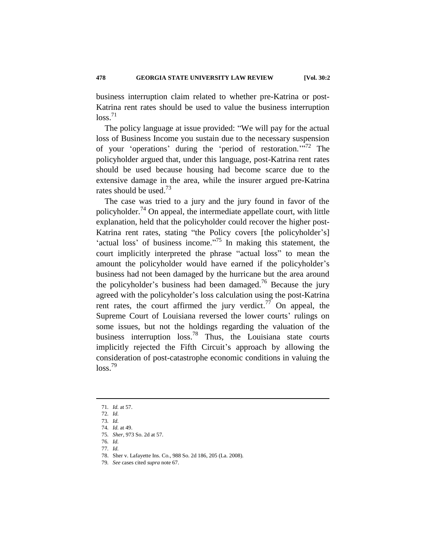business interruption claim related to whether pre-Katrina or post-Katrina rent rates should be used to value the business interruption  $loss.<sup>71</sup>$ 

The policy language at issue provided: "We will pay for the actual loss of Business Income you sustain due to the necessary suspension of your 'operations' during the 'period of restoration.'"<sup>72</sup> The policyholder argued that, under this language, post-Katrina rent rates should be used because housing had become scarce due to the extensive damage in the area, while the insurer argued pre-Katrina rates should be used.<sup>73</sup>

The case was tried to a jury and the jury found in favor of the policyholder.<sup>74</sup> On appeal, the intermediate appellate court, with little explanation, held that the policyholder could recover the higher post-Katrina rent rates, stating "the Policy covers [the policyholder's] 'actual loss' of business income. $175$  In making this statement, the court implicitly interpreted the phrase "actual loss" to mean the amount the policyholder would have earned if the policyholder's business had not been damaged by the hurricane but the area around the policyholder's business had been damaged.<sup>76</sup> Because the jury agreed with the policyholder's loss calculation using the post-Katrina rent rates, the court affirmed the jury verdict.<sup>77</sup> On appeal, the Supreme Court of Louisiana reversed the lower courts' rulings on some issues, but not the holdings regarding the valuation of the business interruption  $loss^{78}$  Thus, the Louisiana state courts implicitly rejected the Fifth Circuit's approach by allowing the consideration of post-catastrophe economic conditions in valuing the  $loss.<sup>79</sup>$ 

<sup>71</sup>*. Id.* at 57.

<sup>72</sup>*. Id.*

<sup>73</sup>*. Id.*

<sup>74</sup>*. Id.* at 49.

<sup>75</sup>*. Sher*, 973 So. 2d at 57.

<sup>76</sup>*. Id.*

<sup>77</sup>*. Id.*

<sup>78.</sup> Sher v. Lafayette Ins. Co*.*, 988 So. 2d 186, 205 (La. 2008).

<sup>79</sup>*. See* cases cited *supra* note 67.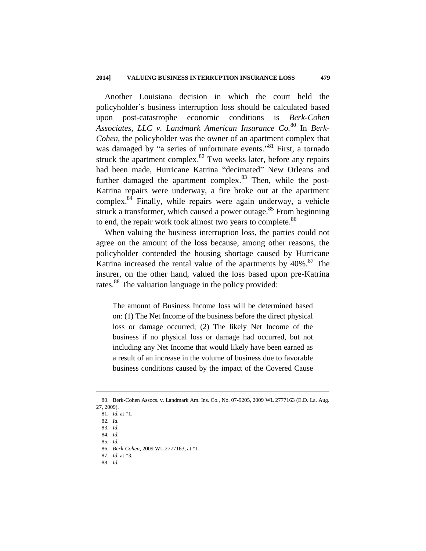Another Louisiana decision in which the court held the policyholder's business interruption loss should be calculated based upon post-catastrophe economic conditions is *Berk-Cohen Associates, LLC v. Landmark American Insurance Co.* <sup>80</sup> In *Berk-Cohen*, the policyholder was the owner of an apartment complex that was damaged by "a series of unfortunate events."<sup>81</sup> First, a tornado struck the apartment complex. $82$  Two weeks later, before any repairs had been made, Hurricane Katrina "decimated" New Orleans and further damaged the apartment complex. $83$  Then, while the post-Katrina repairs were underway, a fire broke out at the apartment complex. $84$  Finally, while repairs were again underway, a vehicle struck a transformer, which caused a power outage.<sup>85</sup> From beginning to end, the repair work took almost two years to complete.<sup>86</sup>

When valuing the business interruption loss, the parties could not agree on the amount of the loss because, among other reasons, the policyholder contended the housing shortage caused by Hurricane Katrina increased the rental value of the apartments by  $40\%$ .<sup>87</sup> The insurer, on the other hand, valued the loss based upon pre-Katrina rates.<sup>88</sup> The valuation language in the policy provided:

The amount of Business Income loss will be determined based on: (1) The Net Income of the business before the direct physical loss or damage occurred; (2) The likely Net Income of the business if no physical loss or damage had occurred, but not including any Net Income that would likely have been earned as a result of an increase in the volume of business due to favorable business conditions caused by the impact of the Covered Cause

<sup>80.</sup> Berk-Cohen Assocs. v. Landmark Am. Ins. Co., No. 07-9205, 2009 WL 2777163 (E.D. La. Aug. 27, 2009).

<sup>81</sup>*. Id.* at \*1.

<sup>82</sup>*. Id.*

<sup>83</sup>*. Id.*

<sup>84</sup>*. Id.*

<sup>85</sup>*. Id.*

<sup>86</sup>*. Berk-Cohen*, 2009 WL 2777163, at \*1. 87*. Id.* at \*3.

<sup>88</sup>*. Id.*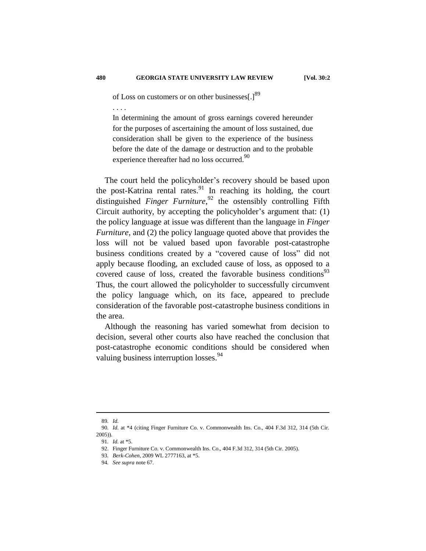of Loss on customers or on other businesses[.]<sup>89</sup>

. . . .

In determining the amount of gross earnings covered hereunder for the purposes of ascertaining the amount of loss sustained, due consideration shall be given to the experience of the business before the date of the damage or destruction and to the probable experience thereafter had no loss occurred.<sup>90</sup>

The court held the policyholder's recovery should be based upon the post-Katrina rental rates.<sup>91</sup> In reaching its holding, the court distinguished *Finger Furniture*, <sup>92</sup> the ostensibly controlling Fifth Circuit authority, by accepting the policyholder's argument that: (1) the policy language at issue was different than the language in *Finger Furniture*, and (2) the policy language quoted above that provides the loss will not be valued based upon favorable post-catastrophe business conditions created by a "covered cause of loss" did not apply because flooding, an excluded cause of loss, as opposed to a covered cause of loss, created the favorable business conditions<sup>93</sup> Thus, the court allowed the policyholder to successfully circumvent the policy language which, on its face, appeared to preclude consideration of the favorable post-catastrophe business conditions in the area.

Although the reasoning has varied somewhat from decision to decision, several other courts also have reached the conclusion that post-catastrophe economic conditions should be considered when valuing business interruption losses.<sup>94</sup>

<sup>89</sup>*. Id.*

<sup>90</sup>*. Id.* at \*4 (citing Finger Furniture Co. v. Commonwealth Ins. Co., 404 F.3d 312, 314 (5th Cir. 2005)).

<sup>91</sup>*. Id.* at \*5.

<sup>92.</sup> Finger Furniture Co. v. Commonwealth Ins. Co., 404 F.3d 312, 314 (5th Cir. 2005).

<sup>93</sup>*. Berk-Cohen*, 2009 WL 2777163, at \*5.

<sup>94</sup>*. See supra* note 67.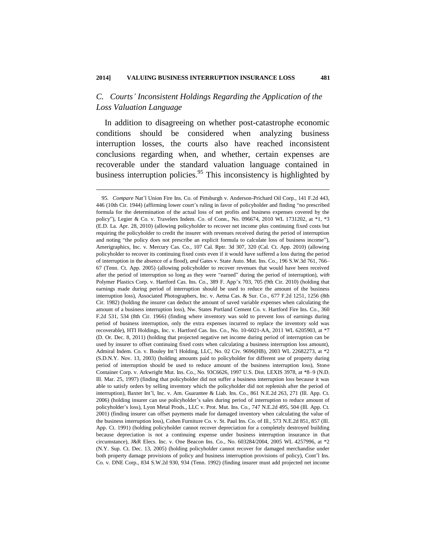1

## *C. Courts' Inconsistent Holdings Regarding the Application of the Loss Valuation Language*

In addition to disagreeing on whether post-catastrophe economic conditions should be considered when analyzing business interruption losses, the courts also have reached inconsistent conclusions regarding when, and whether, certain expenses are recoverable under the standard valuation language contained in business interruption policies.<sup>95</sup> This inconsistency is highlighted by

<sup>95</sup>*. Compare* Nat'l Union Fire Ins. Co. of Pittsburgh v. Anderson-Prichard Oil Corp., 141 F.2d 443, 446 (10th Cir. 1944) (affirming lower court's ruling in favor of policyholder and finding "no prescribed formula for the determination of the actual loss of net profits and business expenses covered by the policy"), Legier & Co. v. Travelers Indem. Co. of Conn.*,* No. 096674, 2010 WL 1731202, at \*1, \*3 (E.D. La. Apr. 28, 2010) (allowing policyholder to recover net income plus continuing fixed costs but requiring the policyholder to credit the insurer with revenues received during the period of interruption and noting "the policy does not prescribe an explicit formula to calculate loss of business income"), Amerigraphics, Inc. v. Mercury Cas. Co., 107 Cal. Rptr. 3d 307, 320 (Cal. Ct. App. 2010) (allowing policyholder to recover its continuing fixed costs even if it would have suffered a loss during the period of interruption in the absence of a flood), *and* Gates v. State Auto. Mut. Ins. Co.*,* 196 S.W.3d 761, 766– 67 (Tenn. Ct. App. 2005) (allowing policyholder to recover revenues that would have been received after the period of interruption so long as they were "earned" during the period of interruption), *with*  Polymer Plastics Corp. v. Hartford Cas. Ins. Co., 389 F. App'x 703, 705 (9th Cir. 2010) (holding that earnings made during period of interruption should be used to reduce the amount of the business interruption loss), Associated Photographers, Inc. v. Aetna Cas. & Sur. Co*.*, 677 F.2d 1251, 1256 (8th Cir. 1982) (holding the insurer can deduct the amount of saved variable expenses when calculating the amount of a business interruption loss), Nw. States Portland Cement Co. v. Hartford Fire Ins. Co*.*, 360 F.2d 531, 534 (8th Cir. 1966) (finding where inventory was sold to prevent loss of earnings during period of business interruption, only the extra expenses incurred to replace the inventory sold was recoverable), HTI Holdings, Inc. v. Hartford Cas. Ins. Co., No. 10-6021-AA, 2011 WL 6205903, at \*7 (D. Or. Dec. 8, 2011) (holding that projected negative net income during period of interruption can be used by insurer to offset continuing fixed costs when calculating a business interruption loss amount), Admiral Indem. Co. v. Bouley Int'l Holding, LLC, No. 02 Civ. 9696(HB), 2003 WL 22682273, at \*2 (S.D.N.Y. Nov. 13, 2003) (holding amounts paid to policyholder for different use of property during period of interruption should be used to reduce amount of the business interruption loss), Stone Container Corp. v. Arkwright Mut. Ins. Co., No. 93C6626, 1997 U.S. Dist. LEXIS 3978, at \*8–9 (N.D. Ill. Mar. 25, 1997) (finding that policyholder did not suffer a business interruption loss because it was able to satisfy orders by selling inventory which the policyholder did not replenish after the period of interruption), Baxter Int'l, Inc. v. Am. Guarantee & Liab. Ins. Co*.*, 861 N.E.2d 263, 271 (Ill. App. Ct. 2006) (holding insurer can use policyholder's sales during period of interruption to reduce amount of policyholder's loss), Lyon Metal Prods., LLC v. Prot. Mut. Ins. Co*.*, 747 N.E.2d 495, 504 (Ill. App. Ct. 2001) (finding insurer can offset payments made for damaged inventory when calculating the value of the business interruption loss), Cohen Furniture Co. v. St. Paul Ins. Co. of Ill., 573 N.E.2d 851, 857 (Ill. App. Ct. 1991) (holding policyholder cannot recover depreciation for a completely destroyed building because depreciation is not a continuing expense under business interruption insurance in that circumstance), J&R Elecs. Inc. v. One Beacon Ins. Co*.*, No. 603284/2004, 2005 WL 4257996, at \*2 (N.Y. Sup. Ct. Dec. 13, 2005) (holding policyholder cannot recover for damaged merchandise under both property damage provisions of policy and business interruption provisions of policy), Cont'l Ins. Co. v. DNE Corp*.*, 834 S.W.2d 930, 934 (Tenn. 1992) (finding insurer must add projected net income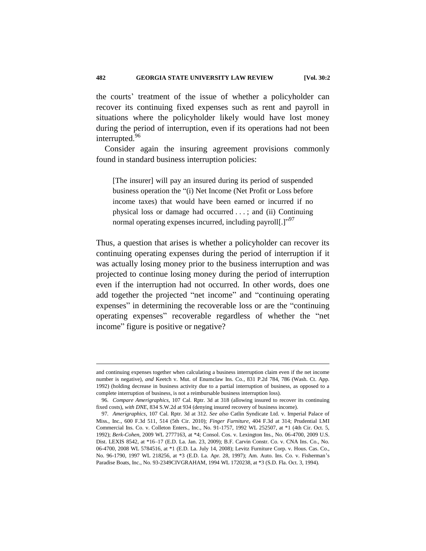the courts' treatment of the issue of whether a policyholder can recover its continuing fixed expenses such as rent and payroll in situations where the policyholder likely would have lost money during the period of interruption, even if its operations had not been interrupted.<sup>96</sup>

Consider again the insuring agreement provisions commonly found in standard business interruption policies:

[The insurer] will pay an insured during its period of suspended business operation the "(i) Net Income (Net Profit or Loss before income taxes) that would have been earned or incurred if no physical loss or damage had occurred . . . ; and (ii) Continuing normal operating expenses incurred, including payroll[.]"<sup>97</sup>

Thus, a question that arises is whether a policyholder can recover its continuing operating expenses during the period of interruption if it was actually losing money prior to the business interruption and was projected to continue losing money during the period of interruption even if the interruption had not occurred. In other words, does one add together the projected "net income" and "continuing operating expenses" in determining the recoverable loss or are the "continuing operating expenses" recoverable regardless of whether the "net income" figure is positive or negative?

and continuing expenses together when calculating a business interruption claim even if the net income number is negative), *and* Keetch v. Mut. of Enumclaw Ins. Co*.*, 831 P.2d 784, 786 (Wash. Ct. App. 1992) (holding decrease in business activity due to a partial interruption of business, as opposed to a complete interruption of business, is not a reimbursable business interruption loss).

<sup>96</sup>*. Compare Amerigraphics*, 107 Cal. Rptr. 3d at 318 (allowing insured to recover its continuing fixed costs), *with DNE*, 834 S.W.2d at 934 (denying insured recovery of business income).

<sup>97</sup>*. Amerigraphics*, 107 Cal. Rptr. 3d at 312. *See also* Catlin Syndicate Ltd. v. Imperial Palace of Miss., Inc., 600 F.3d 511, 514 (5th Cir. 2010); *Finger Furniture*, 404 F.3d at 314; Prudential LMI Commercial Ins. Co. v. Colleton Enters., Inc., No. 91-1757, 1992 WL 252507, at \*1 (4th Cir. Oct. 5, 1992); *Berk-Cohen*, 2009 WL 2777163, at \*4; Consol. Cos. v. Lexington Ins., No. 06-4700, 2009 U.S. Dist. LEXIS 8542, at \*16–17 (E.D. La. Jan. 23, 2009); B.F. Carvin Constr. Co. v. CNA Ins. Co., No. 06-4700, 2008 WL 5784516, at \*1 (E.D. La. July 14, 2008); Levitz Furniture Corp. v. Hous. Cas. Co., No. 96-1790, 1997 WL 218256, at \*3 (E.D. La. Apr. 28, 1997); Am. Auto. Ins. Co. v. Fisherman's Paradise Boats, Inc., No. 93-2349CIVGRAHAM, 1994 WL 1720238, at \*3 (S.D. Fla. Oct. 3, 1994).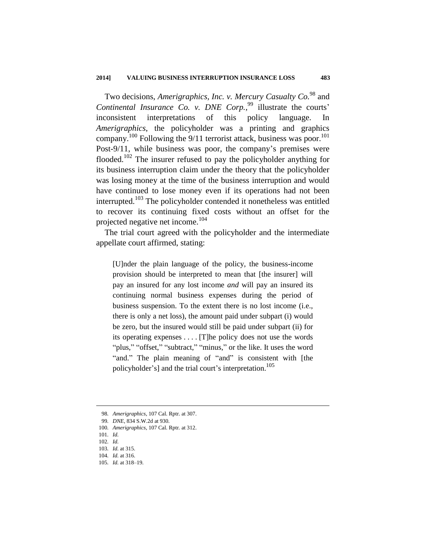Two decisions, *Amerigraphics, Inc. v. Mercury Casualty Co.*<sup>98</sup> and *Continental Insurance Co. v. DNE Corp.*, <sup>99</sup> illustrate the courts' inconsistent interpretations of this policy language. In *Amerigraphics*, the policyholder was a printing and graphics company.<sup>100</sup> Following the 9/11 terrorist attack, business was poor.<sup>101</sup> Post-9/11, while business was poor, the company's premises were flooded.<sup>102</sup> The insurer refused to pay the policyholder anything for its business interruption claim under the theory that the policyholder was losing money at the time of the business interruption and would have continued to lose money even if its operations had not been interrupted.<sup>103</sup> The policyholder contended it nonetheless was entitled to recover its continuing fixed costs without an offset for the projected negative net income.<sup>104</sup>

The trial court agreed with the policyholder and the intermediate appellate court affirmed, stating:

[U]nder the plain language of the policy, the business-income provision should be interpreted to mean that [the insurer] will pay an insured for any lost income *and* will pay an insured its continuing normal business expenses during the period of business suspension. To the extent there is no lost income (i.e., there is only a net loss), the amount paid under subpart (i) would be zero, but the insured would still be paid under subpart (ii) for its operating expenses . . . . [T]he policy does not use the words "plus," "offset," "subtract," "minus," or the like. It uses the word "and." The plain meaning of "and" is consistent with [the policyholder's] and the trial court's interpretation.<sup>105</sup>

<sup>98</sup>*. Amerigraphics*, 107 Cal. Rptr. at 307.

<sup>99</sup>*. DNE*, 834 S.W.2d at 930.

<sup>100</sup>*. Amerigraphics*, 107 Cal. Rptr*.* at 312.

<sup>101</sup>*. Id.*

<sup>102</sup>*. Id.*

<sup>103</sup>*. Id.* at 315.

<sup>104</sup>*. Id.* at 316.

<sup>105</sup>*. Id.* at 318–19.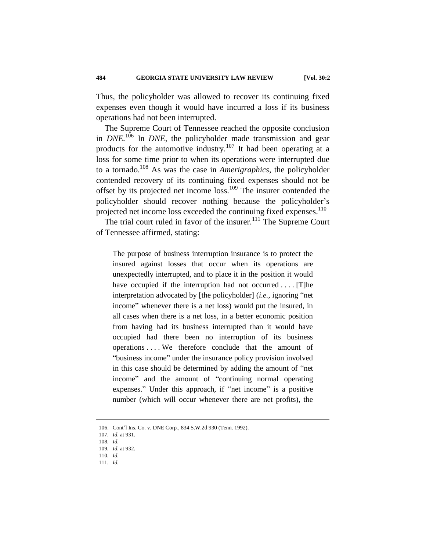Thus, the policyholder was allowed to recover its continuing fixed expenses even though it would have incurred a loss if its business operations had not been interrupted.

The Supreme Court of Tennessee reached the opposite conclusion in *DNE*.<sup>106</sup> In *DNE*, the policyholder made transmission and gear products for the automotive industry.<sup>107</sup> It had been operating at a loss for some time prior to when its operations were interrupted due to a tornado.<sup>108</sup> As was the case in *Amerigraphics*, the policyholder contended recovery of its continuing fixed expenses should not be offset by its projected net income loss.<sup>109</sup> The insurer contended the policyholder should recover nothing because the policyholder's projected net income loss exceeded the continuing fixed expenses.<sup>110</sup>

The trial court ruled in favor of the insurer.<sup>111</sup> The Supreme Court of Tennessee affirmed, stating:

The purpose of business interruption insurance is to protect the insured against losses that occur when its operations are unexpectedly interrupted, and to place it in the position it would have occupied if the interruption had not occurred .... [T]he interpretation advocated by [the policyholder] (*i.e.*, ignoring "net income" whenever there is a net loss) would put the insured, in all cases when there is a net loss, in a better economic position from having had its business interrupted than it would have occupied had there been no interruption of its business operations . . . . We therefore conclude that the amount of "business income" under the insurance policy provision involved in this case should be determined by adding the amount of "net income" and the amount of "continuing normal operating expenses." Under this approach, if "net income" is a positive number (which will occur whenever there are net profits), the

<sup>106.</sup> Cont'l Ins. Co. v. DNE Corp*.*, 834 S.W.2d 930 (Tenn. 1992).

<sup>107</sup>*. Id.* at 931.

<sup>108</sup>*. Id.*

<sup>109</sup>*. Id.* at 932.

<sup>110</sup>*. Id.*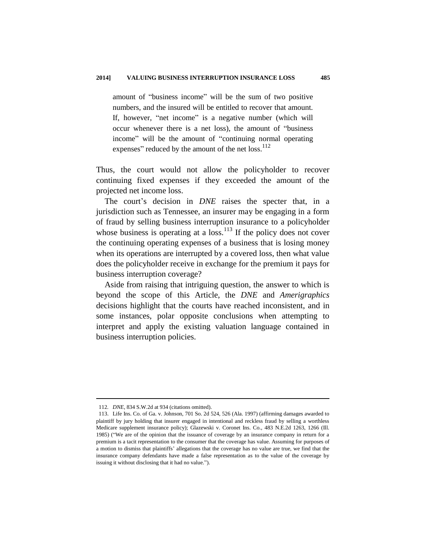amount of "business income" will be the sum of two positive numbers, and the insured will be entitled to recover that amount. If, however, "net income" is a negative number (which will occur whenever there is a net loss), the amount of "business income" will be the amount of "continuing normal operating expenses" reduced by the amount of the net loss.<sup>112</sup>

Thus, the court would not allow the policyholder to recover continuing fixed expenses if they exceeded the amount of the projected net income loss.

The court's decision in *DNE* raises the specter that, in a jurisdiction such as Tennessee, an insurer may be engaging in a form of fraud by selling business interruption insurance to a policyholder whose business is operating at a loss.<sup>113</sup> If the policy does not cover the continuing operating expenses of a business that is losing money when its operations are interrupted by a covered loss, then what value does the policyholder receive in exchange for the premium it pays for business interruption coverage?

Aside from raising that intriguing question, the answer to which is beyond the scope of this Article, the *DNE* and *Amerigraphics*  decisions highlight that the courts have reached inconsistent, and in some instances, polar opposite conclusions when attempting to interpret and apply the existing valuation language contained in business interruption policies.

<sup>112</sup>*. DNE*, 834 S.W.2d at 934 (citations omitted).

<sup>113.</sup> Life Ins. Co. of Ga. v. Johnson, 701 So. 2d 524, 526 (Ala. 1997) (affirming damages awarded to plaintiff by jury holding that insurer engaged in intentional and reckless fraud by selling a worthless Medicare supplement insurance policy); Glazewski v. Coronet Ins. Co., 483 N.E.2d 1263, 1266 (Ill. 1985) ("We are of the opinion that the issuance of coverage by an insurance company in return for a premium is a tacit representation to the consumer that the coverage has value. Assuming for purposes of a motion to dismiss that plaintiffs' allegations that the coverage has no value are true, we find that the insurance company defendants have made a false representation as to the value of the coverage by issuing it without disclosing that it had no value.").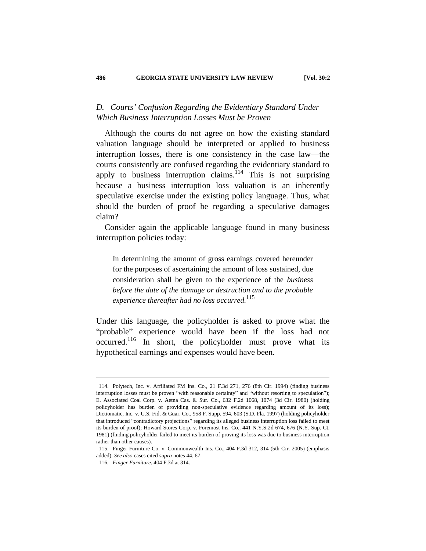## *D. Courts' Confusion Regarding the Evidentiary Standard Under Which Business Interruption Losses Must be Proven*

Although the courts do not agree on how the existing standard valuation language should be interpreted or applied to business interruption losses, there is one consistency in the case law—the courts consistently are confused regarding the evidentiary standard to apply to business interruption claims.<sup>114</sup> This is not surprising because a business interruption loss valuation is an inherently speculative exercise under the existing policy language. Thus, what should the burden of proof be regarding a speculative damages claim?

Consider again the applicable language found in many business interruption policies today:

In determining the amount of gross earnings covered hereunder for the purposes of ascertaining the amount of loss sustained, due consideration shall be given to the experience of the *business before the date of the damage or destruction and to the probable experience thereafter had no loss occurred.*<sup>115</sup>

Under this language, the policyholder is asked to prove what the "probable" experience would have been if the loss had not occurred.<sup>116</sup> In short, the policyholder must prove what its hypothetical earnings and expenses would have been.

<sup>114.</sup> Polytech, Inc. v. Affiliated FM Ins. Co*.,* 21 F.3d 271, 276 (8th Cir. 1994) (finding business interruption losses must be proven "with reasonable certainty" and "without resorting to speculation"); E. Associated Coal Corp. v. Aetna Cas. & Sur. Co*.*, 632 F.2d 1068, 1074 (3d Cir. 1980) (holding policyholder has burden of providing non-speculative evidence regarding amount of its loss); Dictiomatic, Inc. v. U.S. Fid. & Guar. Co., 958 F. Supp. 594, 603 (S.D. Fla. 1997) (holding policyholder that introduced "contradictory projections" regarding its alleged business interruption loss failed to meet its burden of proof); Howard Stores Corp. v. Foremost Ins. Co., 441 N.Y.S.2d 674, 676 (N.Y. Sup. Ct. 1981) (finding policyholder failed to meet its burden of proving its loss was due to business interruption rather than other causes).

<sup>115.</sup> Finger Furniture Co. v. Commonwealth Ins. Co., 404 F.3d 312, 314 (5th Cir. 2005) (emphasis added). *See also* cases cited *supra* notes 44, 67.

<sup>116</sup>*. Finger Furniture*, 404 F.3d at 314.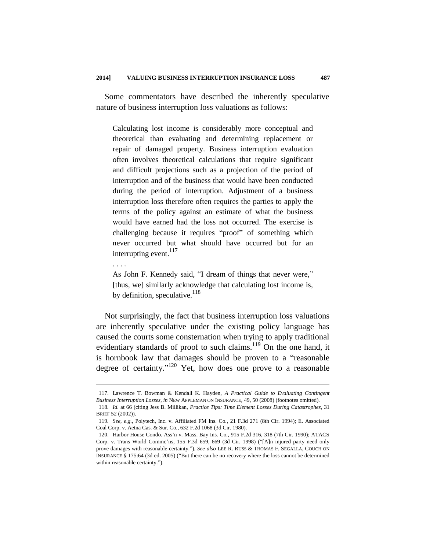Some commentators have described the inherently speculative nature of business interruption loss valuations as follows:

Calculating lost income is considerably more conceptual and theoretical than evaluating and determining replacement or repair of damaged property. Business interruption evaluation often involves theoretical calculations that require significant and difficult projections such as a projection of the period of interruption and of the business that would have been conducted during the period of interruption. Adjustment of a business interruption loss therefore often requires the parties to apply the terms of the policy against an estimate of what the business would have earned had the loss not occurred. The exercise is challenging because it requires "proof" of something which never occurred but what should have occurred but for an interrupting event.<sup>117</sup>

. . . .

1

As John F. Kennedy said, "I dream of things that never were," [thus, we] similarly acknowledge that calculating lost income is, by definition, speculative.  $^{118}$ 

Not surprisingly, the fact that business interruption loss valuations are inherently speculative under the existing policy language has caused the courts some consternation when trying to apply traditional evidentiary standards of proof to such claims.<sup>119</sup> On the one hand, it is hornbook law that damages should be proven to a "reasonable degree of certainty."<sup>120</sup> Yet, how does one prove to a reasonable

<sup>117.</sup> Lawrence T. Bowman & Kendall K. Hayden, *A Practical Guide to Evaluating Contingent Business Interruption Losses*, *in* NEW APPLEMAN ON INSURANCE, 49, 50 (2008) (footnotes omitted).

<sup>118</sup>*. Id.* at 66 (citing Jess B. Millikan, *Practice Tips: Time Element Losses During Catastrophes*, 31 BRIEF 52 (2002)).

<sup>119</sup>*. See, e.g.*, Polytech, Inc. v. Affiliated FM Ins. Co*.*, 21 F.3d 271 (8th Cir. 1994); E. Associated Coal Corp. v. Aetna Cas. & Sur. Co*.*, 632 F.2d 1068 (3d Cir. 1980).

<sup>120.</sup> Harbor House Condo. Ass'n v. Mass. Bay Ins. Co*.*, 915 F.2d 316, 318 (7th Cir. 1990); ATACS Corp. v. Trans World Commc'ns, 155 F.3d 659, 669 (3d Cir. 1998) ("[A]n injured party need only prove damages with reasonable certainty."). *See also* LEE R. RUSS & THOMAS F. SEGALLA, COUCH ON INSURANCE § 175:64 (3d ed. 2005) ("But there can be no recovery where the loss cannot be determined within reasonable certainty.").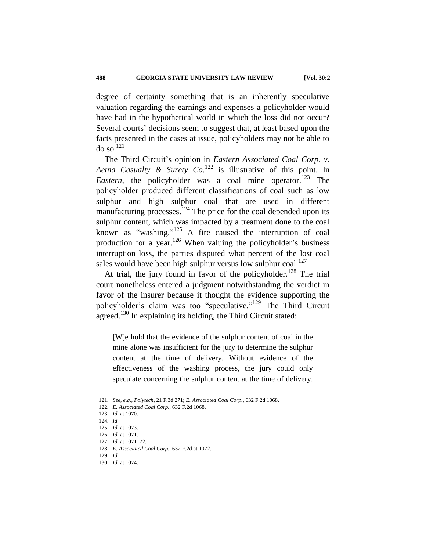degree of certainty something that is an inherently speculative valuation regarding the earnings and expenses a policyholder would have had in the hypothetical world in which the loss did not occur? Several courts' decisions seem to suggest that, at least based upon the facts presented in the cases at issue, policyholders may not be able to do so.<sup>121</sup>

The Third Circuit's opinion in *Eastern Associated Coal Corp. v. Aetna Casualty & Surety Co.*<sup>122</sup> is illustrative of this point. In *Eastern*, the policyholder was a coal mine operator.<sup>123</sup> The policyholder produced different classifications of coal such as low sulphur and high sulphur coal that are used in different manufacturing processes.  $124$  The price for the coal depended upon its sulphur content, which was impacted by a treatment done to the coal known as "washing."<sup>125</sup> A fire caused the interruption of coal production for a year.<sup>126</sup> When valuing the policyholder's business interruption loss, the parties disputed what percent of the lost coal sales would have been high sulphur versus low sulphur  $\text{coal.}^{127}$ 

At trial, the jury found in favor of the policyholder.<sup>128</sup> The trial court nonetheless entered a judgment notwithstanding the verdict in favor of the insurer because it thought the evidence supporting the policyholder's claim was too "speculative."<sup>129</sup> The Third Circuit agreed.<sup>130</sup> In explaining its holding, the Third Circuit stated:

[W]e hold that the evidence of the sulphur content of coal in the mine alone was insufficient for the jury to determine the sulphur content at the time of delivery. Without evidence of the effectiveness of the washing process, the jury could only speculate concerning the sulphur content at the time of delivery.

<sup>121</sup>*. See, e.g.*, *Polytech*, 21 F.3d 271; *E. Associated Coal Corp.*, 632 F.2d 1068.

<sup>122</sup>*. E. Associated Coal Corp.*, 632 F.2d 1068.

<sup>123</sup>*. Id.* at 1070.

<sup>124</sup>*. Id.*

<sup>125</sup>*. Id.* at 1073.

<sup>126</sup>*. Id.* at 1071.

<sup>127</sup>*. Id.* at 1071–72.

<sup>128</sup>*. E. Associated Coal Corp.*, 632 F.2d at 1072.

<sup>129</sup>*. Id.*

<sup>130</sup>*. Id.* at 1074.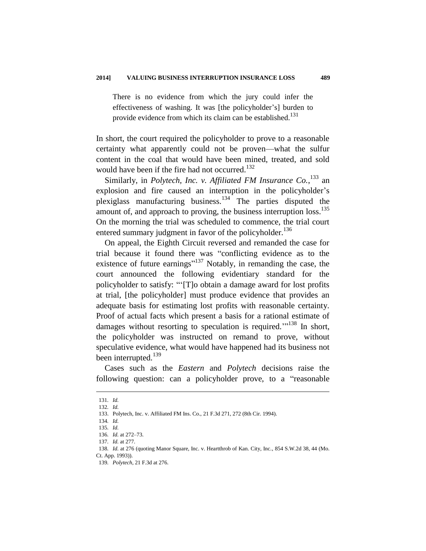There is no evidence from which the jury could infer the effectiveness of washing. It was [the policyholder's] burden to provide evidence from which its claim can be established.<sup>131</sup>

In short, the court required the policyholder to prove to a reasonable certainty what apparently could not be proven—what the sulfur content in the coal that would have been mined, treated, and sold would have been if the fire had not occurred.<sup>132</sup>

Similarly, in *Polytech, Inc. v. Affiliated FM Insurance Co.*, <sup>133</sup> an explosion and fire caused an interruption in the policyholder's plexiglass manufacturing business.<sup>134</sup> The parties disputed the amount of, and approach to proving, the business interruption  $loss$ <sup>135</sup> On the morning the trial was scheduled to commence, the trial court entered summary judgment in favor of the policyholder.<sup>136</sup>

On appeal, the Eighth Circuit reversed and remanded the case for trial because it found there was "conflicting evidence as to the existence of future earnings<sup> $137$ </sup> Notably, in remanding the case, the court announced the following evidentiary standard for the policyholder to satisfy: "'[T]o obtain a damage award for lost profits at trial, [the policyholder] must produce evidence that provides an adequate basis for estimating lost profits with reasonable certainty. Proof of actual facts which present a basis for a rational estimate of damages without resorting to speculation is required. $1^{138}$  In short, the policyholder was instructed on remand to prove, without speculative evidence, what would have happened had its business not been interrupted.<sup>139</sup>

Cases such as the *Eastern* and *Polytech* decisions raise the following question: can a policyholder prove, to a "reasonable

<sup>131</sup>*. Id.*

<sup>132</sup>*. Id.*

<sup>133.</sup> Polytech, Inc. v. Affiliated FM Ins. Co., 21 F.3d 271, 272 (8th Cir. 1994).

<sup>134</sup>*. Id.*

<sup>135</sup>*. Id.*

<sup>136</sup>*. Id.* at 272–73.

<sup>137</sup>*. Id.* at 277.

<sup>138</sup>*. Id.* at 276 (quoting Manor Square, Inc. v. Heartthrob of Kan. City, Inc*.*, 854 S.W.2d 38, 44 (Mo. Ct. App. 1993)).

<sup>139</sup>*. Polytech*, 21 F.3d at 276.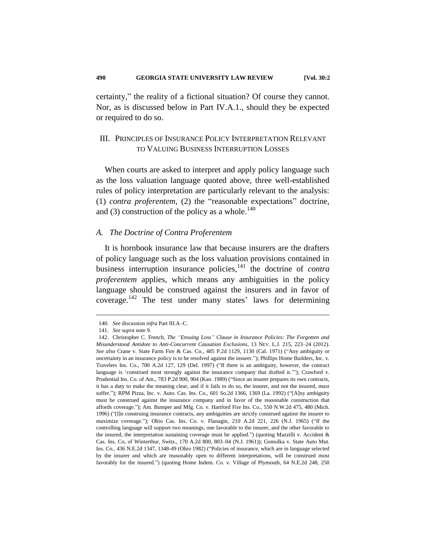certainty," the reality of a fictional situation? Of course they cannot. Nor, as is discussed below in Part IV.A.1., should they be expected or required to do so.

## III. PRINCIPLES OF INSURANCE POLICY INTERPRETATION RELEVANT TO VALUING BUSINESS INTERRUPTION LOSSES

When courts are asked to interpret and apply policy language such as the loss valuation language quoted above, three well-established rules of policy interpretation are particularly relevant to the analysis: (1) *contra proferentem*, (2) the "reasonable expectations" doctrine, and (3) construction of the policy as a whole.<sup>140</sup>

#### *A. The Doctrine of Contra Proferentem*

It is hornbook insurance law that because insurers are the drafters of policy language such as the loss valuation provisions contained in business interruption insurance policies,<sup>141</sup> the doctrine of *contra proferentem* applies, which means any ambiguities in the policy language should be construed against the insurers and in favor of coverage.<sup>142</sup> The test under many states' laws for determining

<sup>140</sup>*. See* discussion *infra* Part III.A–C.

<sup>141</sup>*. See supra* note 9.

<sup>142.</sup> Christopher C. French, *The "Ensuing Loss" Clause in Insurance Policies: The Forgotten and Misunderstood Antidote to Anti-Concurrent Causation Exclusions*, 13 NEV. L.J. 215, 223–24 (2012). *See also* Crane v. State Farm Fire & Cas. Co.*,* 485 P.2d 1129, 1130 (Cal. 1971) ("Any ambiguity or uncertainty in an insurance policy is to be resolved against the insurer."); Phillips Home Builders, Inc. v. Travelers Ins. Co*.,* 700 A.2d 127, 129 (Del. 1997) ("If there is an ambiguity, however, the contract language is 'construed most strongly against the insurance company that drafted it.'"); Crawford v. Prudential Ins. Co. of Am., 783 P.2d 900, 904 (Kan. 1989) ("Since an insurer prepares its own contracts, it has a duty to make the meaning clear, and if it fails to do so, the insurer, and not the insured, must suffer."); RPM Pizza, Inc. v. Auto. Cas. Ins. Co*.,* 601 So.2d 1366, 1369 (La. 1992) ("[A]ny ambiguity must be construed against the insurance company and in favor of the reasonable construction that affords coverage."); Am. Bumper and Mfg. Co. v. Hartford Fire Ins. Co*.,* 550 N.W.2d 475, 480 (Mich. 1996) ("[I]n construing insurance contracts, any ambiguities are strictly construed against the insurer to maximize coverage."); Ohio Cas. Ins. Co. v. Flanagin*,* 210 A.2d 221, 226 (N.J. 1965) ("If the controlling language will support two meanings, one favorable to the insurer, and the other favorable to the insured, the interpretation sustaining coverage must be applied.") (quoting Mazzilli v. Accident & Cas. Ins. Co, of Winterthur, Switz., 170 A.2d 800, 803–04 (N.J. 1961)); Gomolka v. State Auto Mut. Ins. Co*.,* 436 N.E.2d 1347, 1348-49 (Ohio 1982) ("Policies of insurance, which are in language selected by the insurer and which are reasonably open to different interpretations, will be construed most favorably for the insured.") (quoting Home Indem. Co. v. Village of Plymouth, 64 N.E.2d 248, 250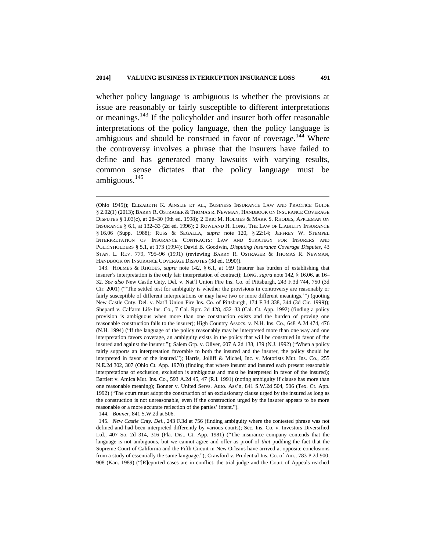whether policy language is ambiguous is whether the provisions at issue are reasonably or fairly susceptible to different interpretations or meanings.<sup>143</sup> If the policyholder and insurer both offer reasonable interpretations of the policy language, then the policy language is ambiguous and should be construed in favor of coverage.<sup>144</sup> Where the controversy involves a phrase that the insurers have failed to define and has generated many lawsuits with varying results, common sense dictates that the policy language must be ambiguous. $145$ 

144*. Bonner*, 841 S.W.2d at 506.

1

145*. New Castle Cnty. Del*.*,* 243 F.3d at 756 (finding ambiguity where the contested phrase was not defined and had been interpreted differently by various courts); Sec. Ins. Co. v. Investors Diversified Ltd., 407 So. 2d 314, 316 (Fla. Dist. Ct. App. 1981) ("The insurance company contends that the language is not ambiguous, but we cannot agree and offer as proof of *that* pudding the fact that the Supreme Court of California and the Fifth Circuit in New Orleans have arrived at opposite conclusions from a study of essentially the same language."); Crawford v. Prudential Ins. Co. of Am.*,* 783 P.2d 900, 908 (Kan. 1989) ("[R]eported cases are in conflict, the trial judge and the Court of Appeals reached

<sup>(</sup>Ohio 1945)); ELIZABETH K. AINSLIE ET AL., BUSINESS INSURANCE LAW AND PRACTICE GUIDE § 2.02(1) (2013); BARRY R. OSTRAGER & THOMAS R. NEWMAN, HANDBOOK ON INSURANCE COVERAGE DISPUTES § 1.03(c), at 28–30 (9th ed. 1998); 2 ERIC M. HOLMES & MARK S. RHODES, APPLEMAN ON INSURANCE § 6.1, at 132–33 (2d ed. 1996); 2 ROWLAND H. LONG, THE LAW OF LIABILITY INSURANCE § 16.06 (Supp. 1988); RUSS & SEGALLA, *supra* note 120, § 22:14; JEFFREY W. STEMPEL INTERPRETATION OF INSURANCE CONTRACTS: LAW AND STRATEGY FOR INSURERS AND POLICYHOLDERS § 5.1, at 173 (1994); David B. Goodwin, *Disputing Insurance Coverage Disputes*, 43 STAN. L. REV. 779, 795–96 (1991) (reviewing BARRY R. OSTRAGER & THOMAS R. NEWMAN, HANDBOOK ON INSURANCE COVERAGE DISPUTES (3d ed. 1990)).

<sup>143.</sup> HOLMES & RHODES, *supra* note 142, § 6.1, at 169 (insurer has burden of establishing that insurer's interpretation is the only fair interpretation of contract); LONG, *supra* note 142, § 16.06, at 16– 32*. See also* New Castle Cnty. Del. v. Nat'l Union Fire Ins. Co. of Pittsburgh, 243 F.3d 744, 750 (3d Cir. 2001) ("'The settled test for ambiguity is whether the provisions in controversy are reasonably or fairly susceptible of different interpretations or may have two or more different meanings.'") (quoting New Castle Cnty. Del. v. Nat'l Union Fire Ins. Co. of Pittsburgh, 174 F.3d 338, 344 (3d Cir. 1999)); Shepard v. Calfarm Life Ins. Co*.,* 7 Cal. Rptr. 2d 428, 432–33 (Cal. Ct. App. 1992) (finding a policy provision is ambiguous when more than one construction exists and the burden of proving one reasonable construction falls to the insurer); High Country Assocs. v. N.H. Ins. Co*.,* 648 A.2d 474, 476 (N.H. 1994) ("If the language of the policy reasonably may be interpreted more than one way and one interpretation favors coverage, an ambiguity exists in the policy that will be construed in favor of the insured and against the insurer."); Salem Grp. v. Oliver, 607 A.2d 138, 139 (N.J. 1992) ("When a policy fairly supports an interpretation favorable to both the insured and the insurer, the policy should be interpreted in favor of the insured."); Harris, Jolliff & Michel, Inc. v. Motorists Mut. Ins. Co*.,* 255 N.E.2d 302, 307 (Ohio Ct. App. 1970) (finding that where insurer and insured each present reasonable interpretations of exclusion, exclusion is ambiguous and must be interpreted in favor of the insured); Bartlett v. Amica Mut. Ins. Co*.,* 593 A.2d 45, 47 (R.I. 1991) (noting ambiguity if clause has more than one reasonable meaning); Bonner v. United Servs. Auto. Ass'n, 841 S.W.2d 504, 506 (Tex. Ct. App. 1992) ("The court must adopt the construction of an exclusionary clause urged by the insured as long as the construction is not unreasonable, even if the construction urged by the insurer appears to be more reasonable or a more accurate reflection of the parties' intent.").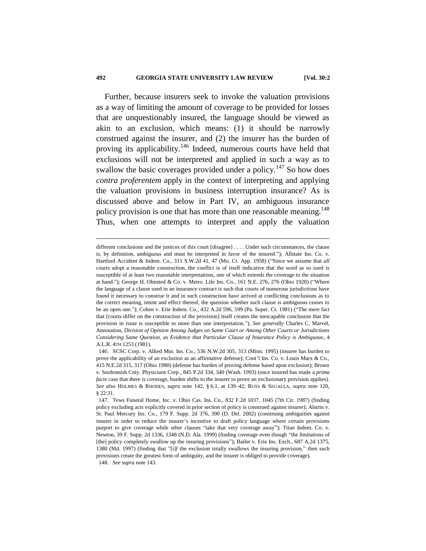#### **492 GEORGIA STATE UNIVERSITY LAW REVIEW [Vol. 30:2**

Further, because insurers seek to invoke the valuation provisions as a way of limiting the amount of coverage to be provided for losses that are unquestionably insured, the language should be viewed as akin to an exclusion, which means: (1) it should be narrowly construed against the insurer, and (2) the insurer has the burden of proving its applicability.<sup>146</sup> Indeed, numerous courts have held that exclusions will not be interpreted and applied in such a way as to swallow the basic coverages provided under a policy.<sup>147</sup> So how does *contra proferentem* apply in the context of interpreting and applying the valuation provisions in business interruption insurance? As is discussed above and below in Part IV, an ambiguous insurance policy provision is one that has more than one reasonable meaning.<sup>148</sup> Thus, when one attempts to interpret and apply the valuation

different conclusions and the justices of this court [disagree] . . . . Under such circumstances, the clause is, by definition, ambiguous and must be interpreted in favor of the insured."); Allstate Ins. Co. v. Hartford Accident & Indem. Co*.,* 311 S.W.2d 41, 47 (Mo. Ct. App. 1958) ("Since we assume that *all* courts adopt a reasonable construction, the conflict is of itself indicative that the word as so used is susceptible of at least two reasonable interpretations, one of which extends the coverage to the situation at hand."); George H. Olmsted & Co. v. Metro. Life Ins. Co*.,* 161 N.E. 276, 276 (Ohio 1928) ("Where the language of a clause used in an insurance contract is such that courts of numerous jurisdictions have found it necessary to construe it and in such construction have arrived at conflicting conclusions as to the correct meaning, intent and effect thereof, the question whether such clause is ambiguous ceases to be an open one."); Cohen v. Erie Indem. Co*.*, 432 A.2d 596, 599 (Pa. Super. Ct. 1981) ("The mere fact that [courts differ on the construction of the provision] itself creates the inescapable conclusion that the provision in issue is susceptible to more than one interpretation."). *See generally* Charles C. Marvel, Annotation, *Division of Opinion Among Judges on Same Court or Among Other Courts or Jurisdictions Considering Same Question, as Evidence that Particular Clause of Insurance Policy is Ambiguous*, 4 A.L.R. 4TH 1253 (1981).

<sup>146.</sup> SCSC Corp. v. Allied Mut. Ins. Co*.*, 536 N.W.2d 305, 313 (Minn. 1995) (insurer has burden to prove the applicability of an exclusion as an affirmative defense); Cont'l Ins. Co. v. Louis Marx & Co., 415 N.E.2d 315, 317 (Ohio 1980) (defense has burden of proving defense based upon exclusion); Brown v. Snohomish Cnty. Physicians Corp*.*, 845 P.2d 334, 340 (Wash. 1993) (once insured has made a *prima facie* case that there is coverage, burden shifts to the insurer to prove an exclusionary provision applies). *See also* HOLMES & RHODES, *supra* note 142, § 6.1, at 139–42; RUSS & SEGALLA, *supra* note 120, § 22:31.

<sup>147.</sup> Tews Funeral Home, Inc. v. Ohio Cas. Ins. Co*.*, 832 F.2d 1037, 1045 (7th Cir. 1987) (finding policy excluding acts explicitly covered in prior section of policy is construed against insurer); Alstrin v. St. Paul Mercury Ins. Co*.*, 179 F. Supp. 2d 376, 390 (D. Del. 2002) (construing ambiguities against insurer in order to reduce the insurer's incentive to draft policy language where certain provisions purport to give coverage while other clauses "take that very coverage away"); Titan Indem. Co. v. Newton, 39 F. Supp. 2d 1336, 1348 (N.D. Ala. 1999) (finding coverage even though "the limitations of [the] policy completely swallow up the insuring provisions"); Bailer v. Erie Ins. Exch*.*, 687 A.2d 1375, 1380 (Md. 1997) (finding that "[i]f the exclusion totally swallows the insuring provision," then such provisions create the greatest form of ambiguity, and the insurer is obliged to provide coverage). 148*. See supra* note 143.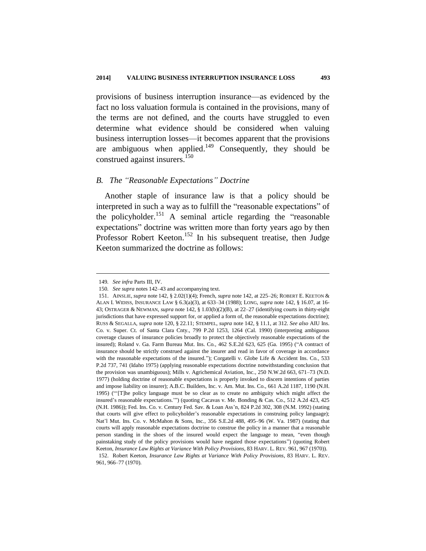provisions of business interruption insurance—as evidenced by the fact no loss valuation formula is contained in the provisions, many of the terms are not defined, and the courts have struggled to even determine what evidence should be considered when valuing business interruption losses—it becomes apparent that the provisions are ambiguous when applied.<sup>149</sup> Consequently, they should be construed against insurers. 150

#### *B. The "Reasonable Expectations" Doctrine*

Another staple of insurance law is that a policy should be interpreted in such a way as to fulfill the "reasonable expectations" of the policyholder.<sup>151</sup> A seminal article regarding the "reasonable" expectations" doctrine was written more than forty years ago by then Professor Robert Keeton.<sup>152</sup> In his subsequent treatise, then Judge Keeton summarized the doctrine as follows:

<sup>149</sup>*. See infra* Parts III, IV.

<sup>150</sup>*. See supra* notes 142–43 and accompanying text.

<sup>151.</sup> AINSLIE, *supra* note 142, § 2.02(1)(4); French, *supra* note 142, at 225–26; ROBERT E. KEETON & ALAN I. WIDISS, INSURANCE LAW § 6.3(a)(3), at 633–34 (1988); LONG, *supra* note 142, § 16.07, at 16- 43; OSTRAGER & NEWMAN, *supra* note 142, § 1.03(b)(2)(B), at 22–27 (identifying courts in thirty-eight jurisdictions that have expressed support for, or applied a form of, the reasonable expectations doctrine); RUSS & SEGALLA, *supra* note 120, § 22.11; STEMPEL, *supra* note 142, § 11.1, at 312. *See also* AIU Ins. Co. v. Super. Ct. of Santa Clara Cnty., 799 P.2d 1253, 1264 (Cal. 1990) (interpreting ambiguous coverage clauses of insurance policies broadly to protect the objectively reasonable expectations of the insured); Roland v. Ga. Farm Bureau Mut. Ins. Co*.,* 462 S.E.2d 623, 625 (Ga. 1995) ("A contract of insurance should be strictly construed against the insurer and read in favor of coverage in accordance with the reasonable expectations of the insured."); Corgatelli v. Globe Life & Accident Ins. Co*.,* 533 P.2d 737, 741 (Idaho 1975) (applying reasonable expectations doctrine notwithstanding conclusion that the provision was unambiguous); Mills v. Agrichemical Aviation, Inc*.,* 250 N.W.2d 663, 671–73 (N.D. 1977) (holding doctrine of reasonable expectations is properly invoked to discern intentions of parties and impose liability on insurer); A.B.C. Builders, Inc. v. Am. Mut. Ins. Co*.,* 661 A.2d 1187, 1190 (N.H. 1995) ("'[T]he policy language must be so clear as to create no ambiguity which might affect the insured's reasonable expectations.'") (quoting Cacavas v. Me. Bonding & Cas. Co., 512 A.2d 423, 425 (N.H. 1986)); Fed. Ins. Co. v. Century Fed. Sav. & Loan Ass'n, 824 P.2d 302, 308 (N.M. 1992) (stating that courts will give effect to policyholder's reasonable expectations in construing policy language); Nat'l Mut. Ins. Co. v. McMahon & Sons, Inc*.,* 356 S.E.2d 488, 495–96 (W. Va. 1987) (stating that courts will apply reasonable expectations doctrine to construe the policy in a manner that a reasonable person standing in the shoes of the insured would expect the language to mean, "even though painstaking study of the policy provisions would have negated those expectations") (quoting Robert Keeton, *Insurance Law Rights at Variance With Policy Provisions*, 83 HARV. L. REV. 961, 967 (1970)). 152. Robert Keeton, *Insurance Law Rights at Variance With Policy Provisions*, 83 HARV. L. REV.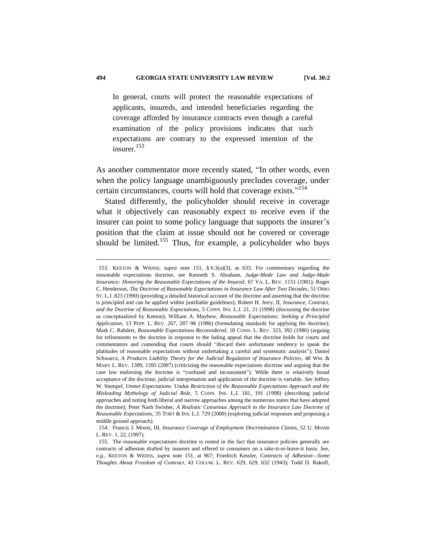In general, courts will protect the reasonable expectations of applicants, insureds, and intended beneficiaries regarding the coverage afforded by insurance contracts even though a careful examination of the policy provisions indicates that such expectations are contrary to the expressed intention of the insurer.<sup>153</sup>

As another commentator more recently stated, "In other words, even when the policy language unambiguously precludes coverage, under certain circumstances, courts will hold that coverage exists."<sup>154</sup>

Stated differently, the policyholder should receive in coverage what it objectively can reasonably expect to receive even if the insurer can point to some policy language that supports the insurer's position that the claim at issue should not be covered or coverage should be limited.<sup>155</sup> Thus, for example, a policyholder who buys

<sup>153.</sup> KEETON & WIDISS, *supra* note 151, § 6.3(a)(3), at 633. For commentary regarding the reasonable expectations doctrine, see Kenneth S. Abraham, *Judge-Made Law and Judge-Made Insurance: Honoring the Reasonable Expectations of the Insured*, 67 VA. L. REV. 1151 (1981); Roger C. Henderson, *The Doctrine of Reasonable Expectations in Insurance Law After Two Decades*, 51 OHIO ST. L.J. 823 (1990) (providing a detailed historical account of the doctrine and asserting that the doctrine is principled and can be applied within justifiable guidelines); Robert H. Jerry, II, *Insurance, Contract, and the Doctrine of Reasonable Expectations*, 5 CONN. INS. L.J. 21, 21 (1998) (discussing the doctrine as conceptualized by Keeton); William A. Mayhew, *Reasonable Expectations: Seeking a Principled Application*, 13 PEPP. L. REV. 267, 287–96 (1986) (formulating standards for applying the doctrine); Mark C. Rahdert, *Reasonable Expectations Reconsidered*, 18 CONN. L. REV. 323, 392 (1986) (arguing for refinements to the doctrine in response to the fading appeal that the doctrine holds for courts and commentators and contending that courts should "discard their unfortunate tendency to speak the platitudes of reasonable expectations without undertaking a careful and systematic analysis"); Daniel Schwarcz, *A Products Liability Theory for the Judicial Regulation of Insurance Policies*, 48 WM. & MARY L. REV. 1389, 1395 (2007) (criticizing the reasonable expectations doctrine and arguing that the case law endorsing the doctrine is "confused and inconsistent"). While there is relatively broad acceptance of the doctrine, judicial interpretation and application of the doctrine is variable. *See* Jeffrey W. Stempel*, Unmet Expectations: Undue Restriction of the Reasonable Expectations Approach and the Misleading Mythology of Judicial Role*, 5 CONN. INS. L.J. 181, 191 (1998) (describing judicial approaches and noting both liberal and narrow approaches among the numerous states that have adopted the doctrine); Peter Nash Swisher, *A Realistic Consensus Approach to the Insurance Law Doctrine of Reasonable Expectations*, 35 TORT & INS. L.J. 729 (2000) (exploring judicial responses and proposing a middle ground approach).

<sup>154.</sup> Francis J. Mootz, III, *Insurance Coverage of Employment Discrimination Claims*, 52 U. MIAMI L. REV. 1, 22, (1997).

<sup>155.</sup> The reasonable expectations doctrine is rooted in the fact that insurance policies generally are contracts of adhesion drafted by insurers and offered to consumers on a take-it-or-leave-it basis. *See, e.g.*, KEETON & WIDISS, *supra* note 151, at 967; Friedrich Kessler, *Contracts of Adhesion—Some Thoughts About Freedom of Contract*, 43 COLUM. L. REV. 629, 629, 632 (1943); Todd D. Rakoff,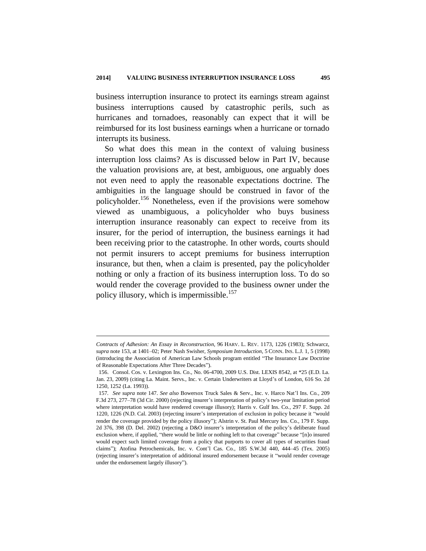business interruption insurance to protect its earnings stream against business interruptions caused by catastrophic perils, such as hurricanes and tornadoes, reasonably can expect that it will be reimbursed for its lost business earnings when a hurricane or tornado interrupts its business.

So what does this mean in the context of valuing business interruption loss claims? As is discussed below in Part IV, because the valuation provisions are, at best, ambiguous, one arguably does not even need to apply the reasonable expectations doctrine. The ambiguities in the language should be construed in favor of the policyholder.<sup>156</sup> Nonetheless, even if the provisions were somehow viewed as unambiguous, a policyholder who buys business interruption insurance reasonably can expect to receive from its insurer, for the period of interruption, the business earnings it had been receiving prior to the catastrophe. In other words, courts should not permit insurers to accept premiums for business interruption insurance, but then, when a claim is presented, pay the policyholder nothing or only a fraction of its business interruption loss. To do so would render the coverage provided to the business owner under the policy illusory, which is impermissible.<sup>157</sup>

*Contracts of Adhesion: An Essay in Reconstruction,* 96 HARV. L. REV. 1173, 1226 (1983); Schwarcz, *supra* note 153, at 1401–02; Peter Nash Swisher, *Symposium Introduction*, 5 CONN. INS. L.J. 1, 5 (1998) (introducing the Association of American Law Schools program entitled "The Insurance Law Doctrine of Reasonable Expectations After Three Decades").

<sup>156.</sup> Consol. Cos. v. Lexington Ins. Co., No. 06-4700, 2009 U.S. Dist. LEXIS 8542, at \*25 (E.D. La. Jan. 23, 2009) (citing La. Maint. Servs., Inc. v. Certain Underwriters at Lloyd's of London, 616 So. 2d 1250, 1252 (La. 1993)).

<sup>157</sup>*. See supra* note 147. *See also* Bowersox Truck Sales & Serv., Inc. v. Harco Nat'l Ins. Co*.,* 209 F.3d 273, 277–78 (3d Cir. 2000) (rejecting insurer's interpretation of policy's two-year limitation period where interpretation would have rendered coverage illusory); Harris v. Gulf Ins. Co*.*, 297 F. Supp. 2d 1220, 1226 (N.D. Cal. 2003) (rejecting insurer's interpretation of exclusion in policy because it "would render the coverage provided by the policy illusory"); Alstrin v. St. Paul Mercury Ins. Co*.,* 179 F. Supp. 2d 376, 398 (D. Del. 2002) (rejecting a D&O insurer's interpretation of the policy's deliberate fraud exclusion where, if applied, "there would be little or nothing left to that coverage" because "[n]o insured would expect such limited coverage from a policy that purports to cover all types of securities fraud claims"); Atofina Petrochemicals, Inc. v. Cont'l Cas. Co*.*, 185 S.W.3d 440, 444–45 (Tex. 2005) (rejecting insurer's interpretation of additional insured endorsement because it "would render coverage under the endorsement largely illusory").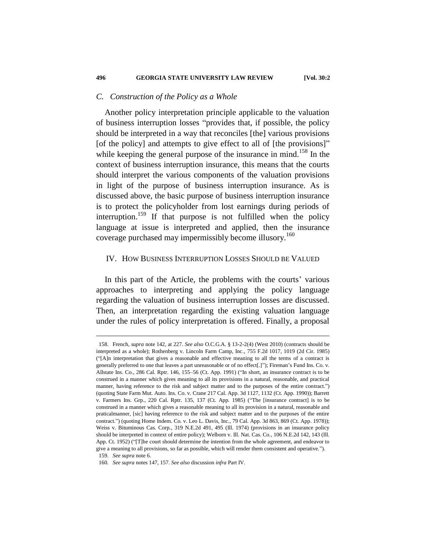#### *C. Construction of the Policy as a Whole*

Another policy interpretation principle applicable to the valuation of business interruption losses "provides that, if possible, the policy should be interpreted in a way that reconciles [the] various provisions [of the policy] and attempts to give effect to all of [the provisions]" while keeping the general purpose of the insurance in mind.<sup>158</sup> In the context of business interruption insurance, this means that the courts should interpret the various components of the valuation provisions in light of the purpose of business interruption insurance. As is discussed above, the basic purpose of business interruption insurance is to protect the policyholder from lost earnings during periods of interruption.<sup>159</sup> If that purpose is not fulfilled when the policy language at issue is interpreted and applied, then the insurance coverage purchased may impermissibly become illusory.<sup>160</sup>

#### IV. HOW BUSINESS INTERRUPTION LOSSES SHOULD BE VALUED

In this part of the Article, the problems with the courts' various approaches to interpreting and applying the policy language regarding the valuation of business interruption losses are discussed. Then, an interpretation regarding the existing valuation language under the rules of policy interpretation is offered. Finally, a proposal

<sup>158.</sup> French, *supra* note 142, at 227. *See also* O.C.G.A. § 13-2-2(4) (West 2010) (contracts should be interpreted as a whole); Rothenberg v. Lincoln Farm Camp, Inc*.,* 755 F.2d 1017, 1019 (2d Cir. 1985) ("[A]n interpretation that gives a reasonable and effective meaning to all the terms of a contract is generally preferred to one that leaves a part unreasonable or of no effect[.]"); Fireman's Fund Ins. Co. v. Allstate Ins. Co*.*, 286 Cal. Rptr. 146, 155–56 (Ct. App. 1991) ("In short, an insurance contract is to be construed in a manner which gives meaning to all its provisions in a natural, reasonable, and practical manner, having reference to the risk and subject matter and to the purposes of the entire contract.") (quoting State Farm Mut. Auto. Ins. Co. v. Crane 217 Cal. App. 3d 1127, 1132 (Ct. App. 1990)); Barrett v. Farmers Ins. Grp., 220 Cal. Rptr. 135, 137 (Ct. App. 1985) ("The [insurance contract] is to be construed in a manner which gives a reasonable meaning to all its provision in a natural, reasonable and praticalmanner, [sic] having reference to the risk and subject matter and to the purposes of the entire contract.") (quoting Home Indem. Co. v. Leo L. Davis, Inc., 79 Cal. App. 3d 863, 869 (Ct. App. 1978)); Weiss v. Bituminous Cas. Corp*.,* 319 N.E.2d 491, 495 (Ill. 1974) (provisions in an insurance policy should be interpreted in context of entire policy); Welborn v. Ill. Nat. Cas. Co*.,* 106 N.E.2d 142, 143 (Ill. App. Ct. 1952) ("[T]he court should determine the intention from the whole agreement, and endeavor to give a meaning to all provisions, so far as possible, which will render them consistent and operative."). 159*. See supra* note 6.

<sup>160</sup>*. See supra* notes 147, 157. *See also* discussion *infra* Part IV.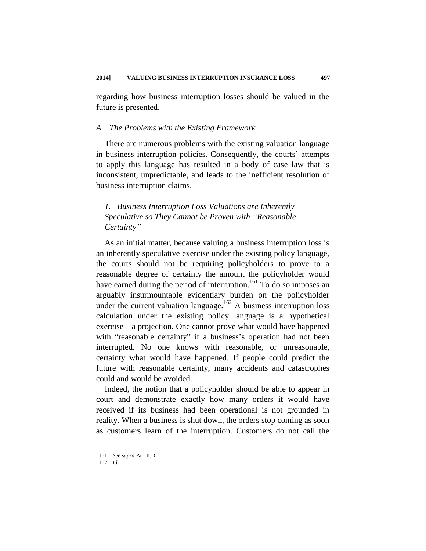regarding how business interruption losses should be valued in the future is presented.

#### *A. The Problems with the Existing Framework*

There are numerous problems with the existing valuation language in business interruption policies. Consequently, the courts' attempts to apply this language has resulted in a body of case law that is inconsistent, unpredictable, and leads to the inefficient resolution of business interruption claims.

## *1. Business Interruption Loss Valuations are Inherently Speculative so They Cannot be Proven with "Reasonable Certainty"*

As an initial matter, because valuing a business interruption loss is an inherently speculative exercise under the existing policy language, the courts should not be requiring policyholders to prove to a reasonable degree of certainty the amount the policyholder would have earned during the period of interruption.<sup>161</sup> To do so imposes an arguably insurmountable evidentiary burden on the policyholder under the current valuation language.<sup>162</sup> A business interruption loss calculation under the existing policy language is a hypothetical exercise—a projection. One cannot prove what would have happened with "reasonable certainty" if a business's operation had not been interrupted. No one knows with reasonable, or unreasonable, certainty what would have happened. If people could predict the future with reasonable certainty, many accidents and catastrophes could and would be avoided.

Indeed, the notion that a policyholder should be able to appear in court and demonstrate exactly how many orders it would have received if its business had been operational is not grounded in reality. When a business is shut down, the orders stop coming as soon as customers learn of the interruption. Customers do not call the

<sup>161</sup>*. See supra* Part II.D.

<sup>162</sup>*. Id.*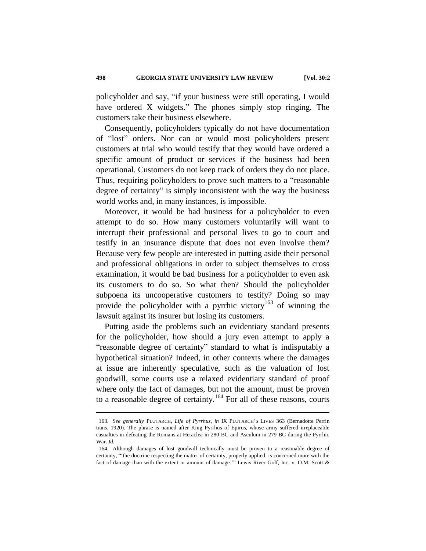policyholder and say, "if your business were still operating, I would have ordered X widgets." The phones simply stop ringing. The customers take their business elsewhere.

Consequently, policyholders typically do not have documentation of "lost" orders. Nor can or would most policyholders present customers at trial who would testify that they would have ordered a specific amount of product or services if the business had been operational. Customers do not keep track of orders they do not place. Thus, requiring policyholders to prove such matters to a "reasonable degree of certainty" is simply inconsistent with the way the business world works and, in many instances, is impossible.

Moreover, it would be bad business for a policyholder to even attempt to do so. How many customers voluntarily will want to interrupt their professional and personal lives to go to court and testify in an insurance dispute that does not even involve them? Because very few people are interested in putting aside their personal and professional obligations in order to subject themselves to cross examination, it would be bad business for a policyholder to even ask its customers to do so. So what then? Should the policyholder subpoena its uncooperative customers to testify? Doing so may provide the policyholder with a pyrrhic victory<sup>163</sup> of winning the lawsuit against its insurer but losing its customers.

Putting aside the problems such an evidentiary standard presents for the policyholder, how should a jury even attempt to apply a "reasonable degree of certainty" standard to what is indisputably a hypothetical situation? Indeed, in other contexts where the damages at issue are inherently speculative, such as the valuation of lost goodwill, some courts use a relaxed evidentiary standard of proof where only the fact of damages, but not the amount, must be proven to a reasonable degree of certainty.<sup>164</sup> For all of these reasons, courts

<sup>163</sup>*. See generally* PLUTARCH, *Life of Pyrrhus*, *in* IX PLUTARCH'S LIVES 363 (Bernadotte Perrin trans. 1920). The phrase is named after King Pyrrhus of Epirus, whose army suffered irreplaceable casualties in defeating the Romans at Heraclea in 280 BC and Asculum in 279 BC during the Pyrrhic War. *Id.*

<sup>164.</sup> Although damages of lost goodwill technically must be proven to a reasonable degree of certainty, "'the doctrine respecting the matter of certainty, properly applied, is concerned more with the fact of damage than with the extent or amount of damage."" Lewis River Golf, Inc. v. O.M. Scott &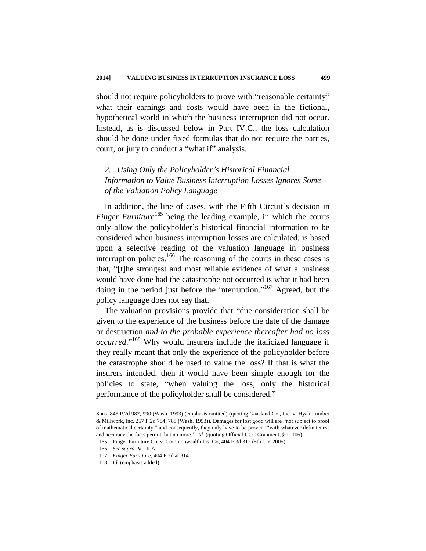should not require policyholders to prove with "reasonable certainty" what their earnings and costs would have been in the fictional, hypothetical world in which the business interruption did not occur. Instead, as is discussed below in Part IV.C., the loss calculation should be done under fixed formulas that do not require the parties, court, or jury to conduct a "what if" analysis.

## *2. Using Only the Policyholder's Historical Financial Information to Value Business Interruption Losses Ignores Some of the Valuation Policy Language*

In addition, the line of cases, with the Fifth Circuit's decision in *Finger Furniture*<sup>165</sup> being the leading example, in which the courts only allow the policyholder's historical financial information to be considered when business interruption losses are calculated, is based upon a selective reading of the valuation language in business interruption policies.<sup>166</sup> The reasoning of the courts in these cases is that, "[t]he strongest and most reliable evidence of what a business would have done had the catastrophe not occurred is what it had been doing in the period just before the interruption."<sup>167</sup> Agreed, but the policy language does not say that.

The valuation provisions provide that "due consideration shall be given to the experience of the business before the date of the damage or destruction *and to the probable experience thereafter had no loss occurred*." <sup>168</sup> Why would insurers include the italicized language if they really meant that only the experience of the policyholder before the catastrophe should be used to value the loss? If that is what the insurers intended, then it would have been simple enough for the policies to state, "when valuing the loss, only the historical performance of the policyholder shall be considered."

Sons, 845 P.2d 987, 990 (Wash. 1993) (emphasis omitted) (quoting Gaasland Co., Inc. v. Hyak Lumber & Millwork, Inc. 257 P.2d 784, 788 (Wash. 1953)). Damages for lost good will are "not subject to proof of mathematical certainty," and consequently, they only have to be proven "'with whatever definiteness and accuracy the facts permit, but no more."" *Id.* (quoting Official UCC Comment, § 1-106).

<sup>165.</sup> Finger Furniture Co. v. Commonwealth Ins. Co, 404 F.3d 312 (5th Cir. 2005).

<sup>166</sup>*. See supra* Part II.A.

<sup>167</sup>*. Finger Furniture,* 404 F.3d at 314.

<sup>168</sup>*. Id.* (emphasis added).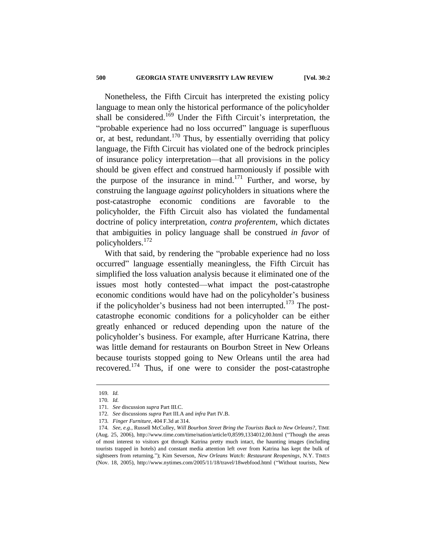Nonetheless, the Fifth Circuit has interpreted the existing policy language to mean only the historical performance of the policyholder shall be considered.<sup>169</sup> Under the Fifth Circuit's interpretation, the "probable experience had no loss occurred" language is superfluous or, at best, redundant.<sup>170</sup> Thus, by essentially overriding that policy language, the Fifth Circuit has violated one of the bedrock principles of insurance policy interpretation—that all provisions in the policy should be given effect and construed harmoniously if possible with the purpose of the insurance in mind.<sup>171</sup> Further, and worse, by construing the language *against* policyholders in situations where the post-catastrophe economic conditions are favorable to the policyholder, the Fifth Circuit also has violated the fundamental doctrine of policy interpretation, *contra proferentem*, which dictates that ambiguities in policy language shall be construed *in favor* of policyholders.<sup>172</sup>

With that said, by rendering the "probable experience had no loss occurred" language essentially meaningless, the Fifth Circuit has simplified the loss valuation analysis because it eliminated one of the issues most hotly contested—what impact the post-catastrophe economic conditions would have had on the policyholder's business if the policyholder's business had not been interrupted.<sup>173</sup> The postcatastrophe economic conditions for a policyholder can be either greatly enhanced or reduced depending upon the nature of the policyholder's business. For example, after Hurricane Katrina, there was little demand for restaurants on Bourbon Street in New Orleans because tourists stopped going to New Orleans until the area had recovered.<sup>174</sup> Thus, if one were to consider the post-catastrophe

<sup>169</sup>*. Id.*

<sup>170</sup>*. Id.*

<sup>171</sup>*. See* discussion *supra* Part III.C.

<sup>172</sup>*. See* discussions *supra* Part III.A and *infra* Part IV.B.

<sup>173</sup>*. Finger Furniture*, 404 F.3d at 314.

<sup>174</sup>*. See, e.g.*, Russell McCulley, *Will Bourbon Street Bring the Tourists Back to New Orleans?*, TIME (Aug. 25, 2006), http://www.time.com/time/nation/article/0,8599,1334012,00.html ("Though the areas of most interest to visitors got through Katrina pretty much intact, the haunting images (including tourists trapped in hotels) and constant media attention left over from Katrina has kept the bulk of sightseers from returning."); Kim Severson, *New Orleans Watch: Restaurant Reopenings*, N.Y. TIMES (Nov. 18, 2005), http://www.nytimes.com/2005/11/18/travel/18webfood.html ("Without tourists, New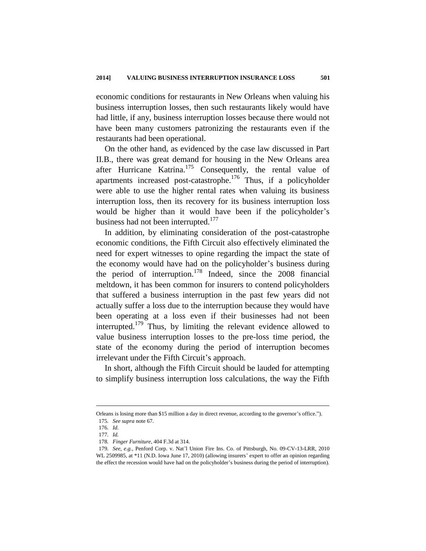economic conditions for restaurants in New Orleans when valuing his business interruption losses, then such restaurants likely would have had little, if any, business interruption losses because there would not have been many customers patronizing the restaurants even if the restaurants had been operational.

On the other hand, as evidenced by the case law discussed in Part II.B., there was great demand for housing in the New Orleans area after Hurricane Katrina.<sup>175</sup> Consequently, the rental value of apartments increased post-catastrophe.<sup>176</sup> Thus, if a policyholder were able to use the higher rental rates when valuing its business interruption loss, then its recovery for its business interruption loss would be higher than it would have been if the policyholder's business had not been interrupted.<sup>177</sup>

In addition, by eliminating consideration of the post-catastrophe economic conditions, the Fifth Circuit also effectively eliminated the need for expert witnesses to opine regarding the impact the state of the economy would have had on the policyholder's business during the period of interruption.<sup>178</sup> Indeed, since the  $2008$  financial meltdown, it has been common for insurers to contend policyholders that suffered a business interruption in the past few years did not actually suffer a loss due to the interruption because they would have been operating at a loss even if their businesses had not been interrupted.<sup>179</sup> Thus, by limiting the relevant evidence allowed to value business interruption losses to the pre-loss time period, the state of the economy during the period of interruption becomes irrelevant under the Fifth Circuit's approach.

In short, although the Fifth Circuit should be lauded for attempting to simplify business interruption loss calculations, the way the Fifth

Orleans is losing more than \$15 million a day in direct revenue, according to the governor's office."). 175*. See supra* note 67.

<sup>176</sup>*. Id.*

<sup>177</sup>*. Id.*

<sup>178</sup>*. Finger Furniture*, 404 F.3d at 314.

<sup>179</sup>*. See, e.g.*, Penford Corp. v. Nat'l Union Fire Ins. Co. of Pittsburgh, No. 09-CV-13-LRR, 2010 WL 2509985, at \*11 (N.D. Iowa June 17, 2010) (allowing insurers' expert to offer an opinion regarding the effect the recession would have had on the policyholder's business during the period of interruption).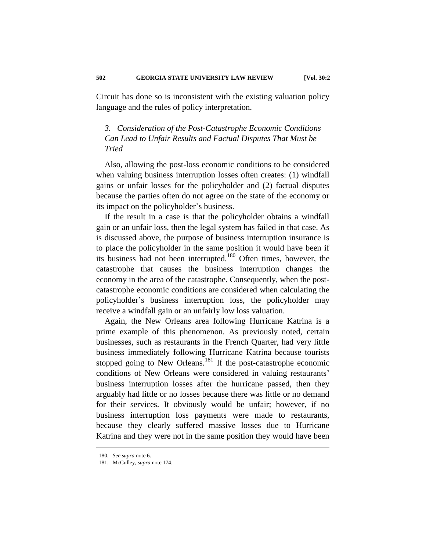Circuit has done so is inconsistent with the existing valuation policy language and the rules of policy interpretation.

## *3. Consideration of the Post-Catastrophe Economic Conditions Can Lead to Unfair Results and Factual Disputes That Must be Tried*

Also, allowing the post-loss economic conditions to be considered when valuing business interruption losses often creates: (1) windfall gains or unfair losses for the policyholder and (2) factual disputes because the parties often do not agree on the state of the economy or its impact on the policyholder's business.

If the result in a case is that the policyholder obtains a windfall gain or an unfair loss, then the legal system has failed in that case. As is discussed above, the purpose of business interruption insurance is to place the policyholder in the same position it would have been if its business had not been interrupted.<sup>180</sup> Often times, however, the catastrophe that causes the business interruption changes the economy in the area of the catastrophe. Consequently, when the postcatastrophe economic conditions are considered when calculating the policyholder's business interruption loss, the policyholder may receive a windfall gain or an unfairly low loss valuation.

Again, the New Orleans area following Hurricane Katrina is a prime example of this phenomenon. As previously noted, certain businesses, such as restaurants in the French Quarter, had very little business immediately following Hurricane Katrina because tourists stopped going to New Orleans.<sup>181</sup> If the post-catastrophe economic conditions of New Orleans were considered in valuing restaurants' business interruption losses after the hurricane passed, then they arguably had little or no losses because there was little or no demand for their services. It obviously would be unfair; however, if no business interruption loss payments were made to restaurants, because they clearly suffered massive losses due to Hurricane Katrina and they were not in the same position they would have been

<sup>180</sup>*. See supra* note 6.

<sup>181.</sup> McCulley, *supra* note 174.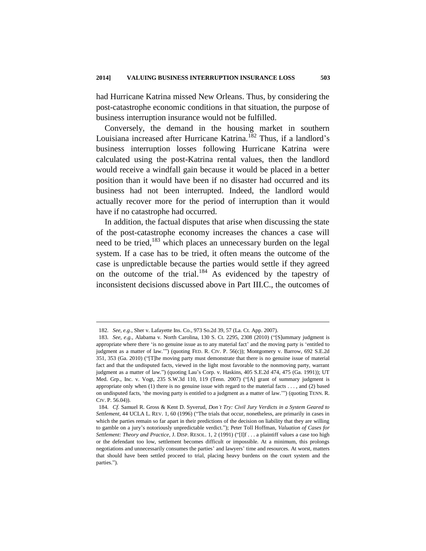had Hurricane Katrina missed New Orleans. Thus, by considering the post-catastrophe economic conditions in that situation, the purpose of business interruption insurance would not be fulfilled.

Conversely, the demand in the housing market in southern Louisiana increased after Hurricane Katrina.<sup>182</sup> Thus, if a landlord's business interruption losses following Hurricane Katrina were calculated using the post-Katrina rental values, then the landlord would receive a windfall gain because it would be placed in a better position than it would have been if no disaster had occurred and its business had not been interrupted. Indeed, the landlord would actually recover more for the period of interruption than it would have if no catastrophe had occurred.

In addition, the factual disputes that arise when discussing the state of the post-catastrophe economy increases the chances a case will need to be tried,<sup>183</sup> which places an unnecessary burden on the legal system. If a case has to be tried, it often means the outcome of the case is unpredictable because the parties would settle if they agreed on the outcome of the trial.<sup>184</sup> As evidenced by the tapestry of inconsistent decisions discussed above in Part III.C., the outcomes of

<sup>182</sup>*. See, e.g*., Sher v. Lafayette Ins. Co., 973 So.2d 39, 57 (La. Ct. App. 2007).

<sup>183</sup>*. See, e.g.*, Alabama v. North Carolina, 130 S. Ct. 2295, 2308 (2010) ("[S]ummary judgment is appropriate where there 'is no genuine issue as to any material fact' and the moving party is 'entitled to judgment as a matter of law."") (quoting FED. R. CIV. P. 56(c)); Montgomery v. Barrow, 692 S.E.2d 351, 353 (Ga. 2010) ("[T]he moving party must demonstrate that there is no genuine issue of material fact and that the undisputed facts, viewed in the light most favorable to the nonmoving party, warrant judgment as a matter of law.") (quoting Lau's Corp. v. Haskins, 405 S.E.2d 474, 475 (Ga. 1991)); UT Med. Grp., Inc. v. Vogt, 235 S.W.3d 110, 119 (Tenn. 2007) ("[A] grant of summary judgment is appropriate only when (1) there is no genuine issue with regard to the material facts . . . , and (2) based on undisputed facts, 'the moving party is entitled to a judgment as a matter of law.'") (quoting TENN. R. CIV. P. 56.04)).

<sup>184</sup>*. Cf.* Samuel R. Gross & Kent D. Syverud, *Don't Try: Civil Jury Verdicts in a System Geared to Settlement*, 44 UCLA L. REV. 1, 60 (1996) ("The trials that occur, nonetheless, are primarily in cases in which the parties remain so far apart in their predictions of the decision on liability that they are willing to gamble on a jury's notoriously unpredictable verdict."); Peter Toll Hoffman, *Valuation of Cases for Settlement: Theory and Practice*, J. DISP. RESOL. 1, 2 (1991) ("[I]f . . . a plaintiff values a case too high or the defendant too low, settlement becomes difficult or impossible. At a minimum, this prolongs negotiations and unnecessarily consumes the parties' and lawyers' time and resources. At worst, matters that should have been settled proceed to trial, placing heavy burdens on the court system and the parties.").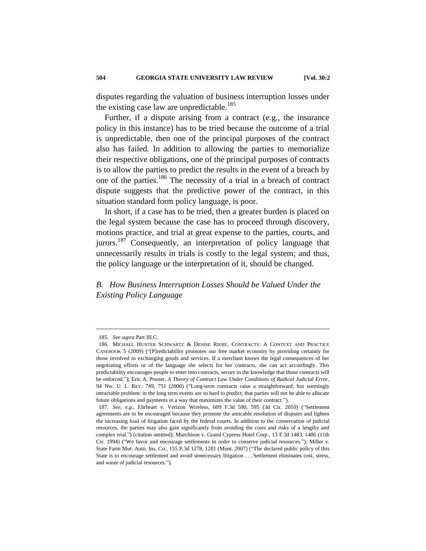disputes regarding the valuation of business interruption losses under the existing case law are unpredictable.<sup>185</sup>

Further, if a dispute arising from a contract (e.g., the insurance policy in this instance) has to be tried because the outcome of a trial is unpredictable, then one of the principal purposes of the contract also has failed. In addition to allowing the parties to memorialize their respective obligations, one of the principal purposes of contracts is to allow the parties to predict the results in the event of a breach by one of the parties.<sup>186</sup> The necessity of a trial in a breach of contract dispute suggests that the predictive power of the contract, in this situation standard form policy language, is poor.

In short, if a case has to be tried, then a greater burden is placed on the legal system because the case has to proceed through discovery, motions practice, and trial at great expense to the parties, courts, and jurors.<sup>187</sup> Consequently, an interpretation of policy language that unnecessarily results in trials is costly to the legal system; and thus, the policy language or the interpretation of it, should be changed.

*B. How Business Interruption Losses Should be Valued Under the Existing Policy Language*

<sup>185</sup>*. See supra* Part III.C.

<sup>186.</sup> MICHAEL HUNTER SCHWARTZ & DENISE RIEBE, CONTRACTS: A CONTEXT AND PRACTICE CASEBOOK 5 (2009) ("[P]redictability promotes our free market economy by providing certainty for those involved in exchanging goods and services. If a merchant knows the legal consequences of her negotiating efforts or of the language she selects for her contracts, she can act accordingly. This predictability encourages people to enter into contracts, secure in the knowledge that those contracts will be enforced."); Eric A. Posner, *A Theory of Contract Law Under Conditions of Radical Judicial Error*, 94 NW. U. L. REV. 749, 751 (2000) ("Long-term contracts raise a straightforward, but seemingly intractable problem: in the long term events are so hard to predict, that parties will not be able to allocate future obligations and payments in a way that maximizes the value of their contract.").

<sup>187</sup>*. See, e.g*., Ehrheart v. Verizon Wireless, 609 F.3d 590, 595 (3d Cir. 2010) ("Settlement agreements are to be encouraged because they promote the amicable resolution of disputes and lighten the increasing load of litigation faced by the federal courts. In addition to the conservation of judicial resources, the parties may also gain significantly from avoiding the costs and risks of a lengthy and complex trial.") (citation omitted); Murchison v. Grand Cypress Hotel Corp*.*, 13 F.3d 1483, 1486 (11th Cir. 1994) ("We favor and encourage settlements in order to conserve judicial resources."); Miller v. State Farm Mut. Auto. Ins. Co*.*, 155 P.3d 1278, 1281 (Mont. 2007) ("The declared public policy of this State is to encourage settlement and avoid unnecessary litigation . . . Settlement eliminates cost, stress, and waste of judicial resources.").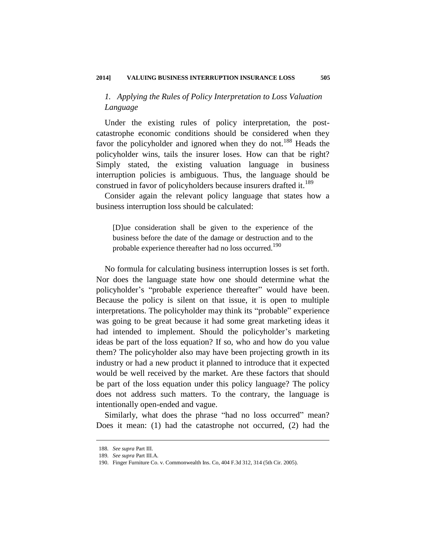## *1. Applying the Rules of Policy Interpretation to Loss Valuation Language*

Under the existing rules of policy interpretation, the postcatastrophe economic conditions should be considered when they favor the policyholder and ignored when they do not.<sup>188</sup> Heads the policyholder wins, tails the insurer loses. How can that be right? Simply stated, the existing valuation language in business interruption policies is ambiguous. Thus, the language should be construed in favor of policyholders because insurers drafted it.<sup>189</sup>

Consider again the relevant policy language that states how a business interruption loss should be calculated:

[D]ue consideration shall be given to the experience of the business before the date of the damage or destruction and to the probable experience thereafter had no loss occurred.<sup>190</sup>

No formula for calculating business interruption losses is set forth. Nor does the language state how one should determine what the policyholder's "probable experience thereafter" would have been. Because the policy is silent on that issue, it is open to multiple interpretations. The policyholder may think its "probable" experience was going to be great because it had some great marketing ideas it had intended to implement. Should the policyholder's marketing ideas be part of the loss equation? If so, who and how do you value them? The policyholder also may have been projecting growth in its industry or had a new product it planned to introduce that it expected would be well received by the market. Are these factors that should be part of the loss equation under this policy language? The policy does not address such matters. To the contrary, the language is intentionally open-ended and vague.

Similarly, what does the phrase "had no loss occurred" mean? Does it mean: (1) had the catastrophe not occurred, (2) had the

<sup>188</sup>*. See supra* Part III.

<sup>189</sup>*. See supra* Part III.A.

<sup>190.</sup> Finger Furniture Co. v. Commonwealth Ins. Co, 404 F.3d 312, 314 (5th Cir. 2005).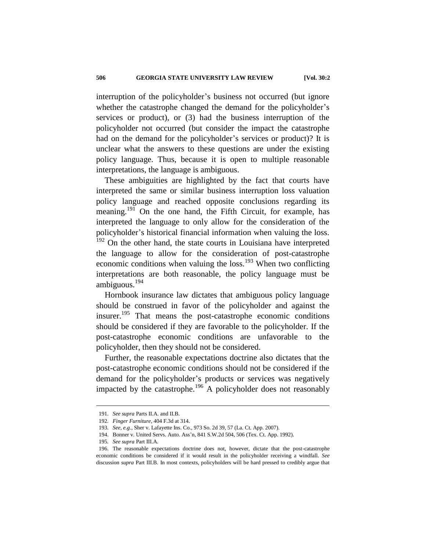interruption of the policyholder's business not occurred (but ignore whether the catastrophe changed the demand for the policyholder's services or product), or (3) had the business interruption of the policyholder not occurred (but consider the impact the catastrophe had on the demand for the policyholder's services or product)? It is unclear what the answers to these questions are under the existing policy language. Thus, because it is open to multiple reasonable interpretations, the language is ambiguous.

These ambiguities are highlighted by the fact that courts have interpreted the same or similar business interruption loss valuation policy language and reached opposite conclusions regarding its meaning.<sup>191</sup> On the one hand, the Fifth Circuit, for example, has interpreted the language to only allow for the consideration of the policyholder's historical financial information when valuing the loss.  $192$  On the other hand, the state courts in Louisiana have interpreted the language to allow for the consideration of post-catastrophe economic conditions when valuing the loss.<sup>193</sup> When two conflicting interpretations are both reasonable, the policy language must be ambiguous.<sup>194</sup>

Hornbook insurance law dictates that ambiguous policy language should be construed in favor of the policyholder and against the insurer.<sup>195</sup> That means the post-catastrophe economic conditions should be considered if they are favorable to the policyholder. If the post-catastrophe economic conditions are unfavorable to the policyholder, then they should not be considered.

Further, the reasonable expectations doctrine also dictates that the post-catastrophe economic conditions should not be considered if the demand for the policyholder's products or services was negatively impacted by the catastrophe.<sup>196</sup> A policyholder does not reasonably

<sup>191</sup>*. See supra* Parts II.A. and II.B.

<sup>192</sup>*. Finger Furniture*, 404 F.3d at 314.

<sup>193</sup>*. See, e.g.*, Sher v. Lafayette Ins. Co., 973 So. 2d 39, 57 (La. Ct. App. 2007).

<sup>194.</sup> Bonner v. United Servs. Auto. Ass'n, 841 S.W.2d 504, 506 (Tex. Ct. App. 1992).

<sup>195</sup>*. See supra* Part III.A.

<sup>196.</sup> The reasonable expectations doctrine does not, however, dictate that the post-catastrophe economic conditions be considered if it would result in the policyholder receiving a windfall. *See* discussion *supra* Part III.B. In most contexts, policyholders will be hard pressed to credibly argue that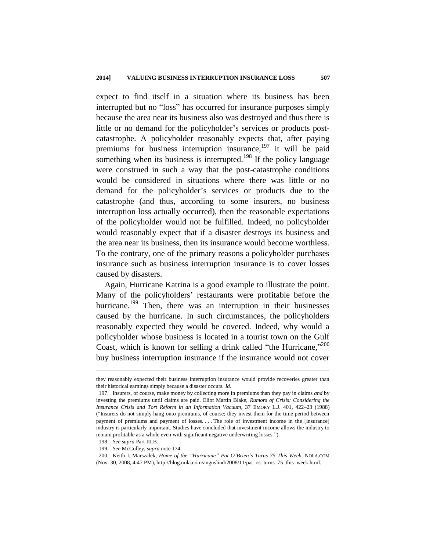expect to find itself in a situation where its business has been interrupted but no "loss" has occurred for insurance purposes simply because the area near its business also was destroyed and thus there is little or no demand for the policyholder's services or products postcatastrophe. A policyholder reasonably expects that, after paying premiums for business interruption insurance, $197$  it will be paid something when its business is interrupted.<sup>198</sup> If the policy language were construed in such a way that the post-catastrophe conditions would be considered in situations where there was little or no demand for the policyholder's services or products due to the catastrophe (and thus, according to some insurers, no business interruption loss actually occurred), then the reasonable expectations of the policyholder would not be fulfilled. Indeed, no policyholder would reasonably expect that if a disaster destroys its business and the area near its business, then its insurance would become worthless. To the contrary, one of the primary reasons a policyholder purchases insurance such as business interruption insurance is to cover losses caused by disasters.

Again, Hurricane Katrina is a good example to illustrate the point. Many of the policyholders' restaurants were profitable before the hurricane.<sup>199</sup> Then, there was an interruption in their businesses caused by the hurricane. In such circumstances, the policyholders reasonably expected they would be covered. Indeed, why would a policyholder whose business is located in a tourist town on the Gulf Coast, which is known for selling a drink called "the Hurricane,"  $200$ buy business interruption insurance if the insurance would not cover

they reasonably expected their business interruption insurance would provide recoveries greater than their historical earnings simply because a disaster occurs. *Id.*

<sup>197.</sup> Insurers, of course, make money by collecting more in premiums than they pay in claims *and* by investing the premiums until claims are paid. Eliot Martin Blake, *Rumors of Crisis: Considering the Insurance Crisis and Tort Reform in an Information Vacuum*, 37 EMORY L.J. 401, 422–23 (1988) ("Insurers do not simply hang onto premiums, of course; they invest them for the time period between payment of premiums and payment of losses. . . . The role of investment income in the [insurance] industry is particularly important. Studies have concluded that investment income allows the industry to remain profitable as a whole even with significant negative underwriting losses.").

<sup>198</sup>*. See supra* Part III.B.

<sup>199</sup>*. See* McCulley, *supra* note 174.

<sup>200.</sup> Keith I. Marszalek, *Home of the "Hurricane" Pat O'Brien's Turns 75 This Week*, NOLA.COM (Nov. 30, 2008, 4:47 PM), http://blog.nola.com/anguslind/2008/11/pat\_os\_turns\_75\_this\_week.html.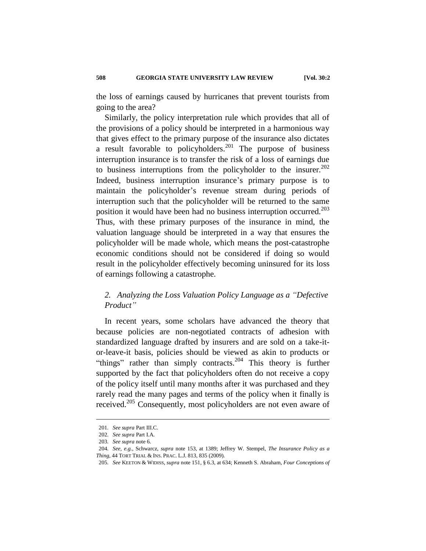the loss of earnings caused by hurricanes that prevent tourists from going to the area?

Similarly, the policy interpretation rule which provides that all of the provisions of a policy should be interpreted in a harmonious way that gives effect to the primary purpose of the insurance also dictates a result favorable to policyholders.<sup>201</sup> The purpose of business interruption insurance is to transfer the risk of a loss of earnings due to business interruptions from the policyholder to the insurer.<sup>202</sup> Indeed, business interruption insurance's primary purpose is to maintain the policyholder's revenue stream during periods of interruption such that the policyholder will be returned to the same position it would have been had no business interruption occurred.<sup>203</sup> Thus, with these primary purposes of the insurance in mind, the valuation language should be interpreted in a way that ensures the policyholder will be made whole, which means the post-catastrophe economic conditions should not be considered if doing so would result in the policyholder effectively becoming uninsured for its loss of earnings following a catastrophe.

## *2. Analyzing the Loss Valuation Policy Language as a "Defective Product"*

In recent years, some scholars have advanced the theory that because policies are non-negotiated contracts of adhesion with standardized language drafted by insurers and are sold on a take-itor-leave-it basis, policies should be viewed as akin to products or "things" rather than simply contracts.<sup>204</sup> This theory is further supported by the fact that policyholders often do not receive a copy of the policy itself until many months after it was purchased and they rarely read the many pages and terms of the policy when it finally is received.<sup>205</sup> Consequently, most policyholders are not even aware of

<sup>201</sup>*. See supra* Part III.C.

<sup>202</sup>*. See supra* Part I.A.

<sup>203</sup>*. See supra* note 6.

<sup>204</sup>*. See, e.g.*, Schwarcz, *supra* note 153, at 1389; Jeffrey W. Stempel, *The Insurance Policy as a Thing*, 44 TORT TRIAL & INS. PRAC. L.J. 813, 835 (2009).

<sup>205</sup>*. See* KEETON & WIDISS, *supra* note 151*,* § 6.3, at 634; Kenneth S. Abraham, *Four Conceptions of*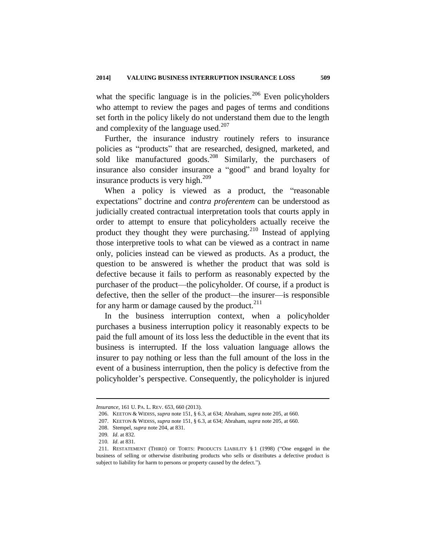what the specific language is in the policies.<sup>206</sup> Even policyholders who attempt to review the pages and pages of terms and conditions set forth in the policy likely do not understand them due to the length and complexity of the language used. $207$ 

Further, the insurance industry routinely refers to insurance policies as "products" that are researched, designed, marketed, and sold like manufactured goods.<sup>208</sup> Similarly, the purchasers of insurance also consider insurance a "good" and brand loyalty for insurance products is very high.<sup>209</sup>

When a policy is viewed as a product, the "reasonable expectations" doctrine and *contra proferentem* can be understood as judicially created contractual interpretation tools that courts apply in order to attempt to ensure that policyholders actually receive the product they thought they were purchasing.<sup>210</sup> Instead of applying those interpretive tools to what can be viewed as a contract in name only, policies instead can be viewed as products. As a product, the question to be answered is whether the product that was sold is defective because it fails to perform as reasonably expected by the purchaser of the product—the policyholder. Of course, if a product is defective, then the seller of the product—the insurer—is responsible for any harm or damage caused by the product. $^{211}$ 

In the business interruption context, when a policyholder purchases a business interruption policy it reasonably expects to be paid the full amount of its loss less the deductible in the event that its business is interrupted. If the loss valuation language allows the insurer to pay nothing or less than the full amount of the loss in the event of a business interruption, then the policy is defective from the policyholder's perspective. Consequently, the policyholder is injured

*Insurance*, 161 U. PA. L. REV. 653, 660 (2013).

<sup>206.</sup> KEETON & WIDISS, *supra* note 151*,* § 6.3, at 634; Abraham, *supra* note 205, at 660.

<sup>207.</sup> KEETON & WIDISS, *supra* note 151*,* § 6.3, at 634; Abraham, *supra* note 205, at 660.

<sup>208.</sup> Stempel, *supra* note 204, at 831.

<sup>209</sup>*. Id*. at 832.

<sup>210</sup>*. Id*. at 831.

<sup>211.</sup> RESTATEMENT (THIRD) OF TORTS: PRODUCTS LIABILITY § 1 (1998) ("One engaged in the business of selling or otherwise distributing products who sells or distributes a defective product is subject to liability for harm to persons or property caused by the defect.").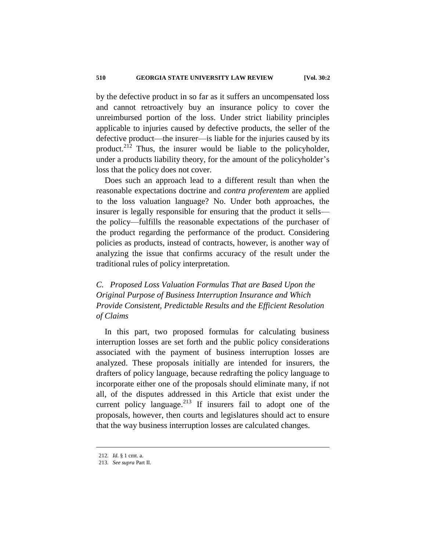by the defective product in so far as it suffers an uncompensated loss and cannot retroactively buy an insurance policy to cover the unreimbursed portion of the loss. Under strict liability principles applicable to injuries caused by defective products, the seller of the defective product—the insurer—is liable for the injuries caused by its product.<sup>212</sup> Thus, the insurer would be liable to the policyholder, under a products liability theory, for the amount of the policyholder's loss that the policy does not cover.

Does such an approach lead to a different result than when the reasonable expectations doctrine and *contra proferentem* are applied to the loss valuation language? No. Under both approaches, the insurer is legally responsible for ensuring that the product it sells the policy—fulfills the reasonable expectations of the purchaser of the product regarding the performance of the product. Considering policies as products, instead of contracts, however, is another way of analyzing the issue that confirms accuracy of the result under the traditional rules of policy interpretation.

# *C. Proposed Loss Valuation Formulas That are Based Upon the Original Purpose of Business Interruption Insurance and Which Provide Consistent, Predictable Results and the Efficient Resolution of Claims*

In this part, two proposed formulas for calculating business interruption losses are set forth and the public policy considerations associated with the payment of business interruption losses are analyzed. These proposals initially are intended for insurers, the drafters of policy language, because redrafting the policy language to incorporate either one of the proposals should eliminate many, if not all, of the disputes addressed in this Article that exist under the current policy language. $2^{13}$  If insurers fail to adopt one of the proposals, however, then courts and legislatures should act to ensure that the way business interruption losses are calculated changes.

<sup>212</sup>*. Id.* § 1 cmt. a.

<sup>213</sup>*. See supra* Part II.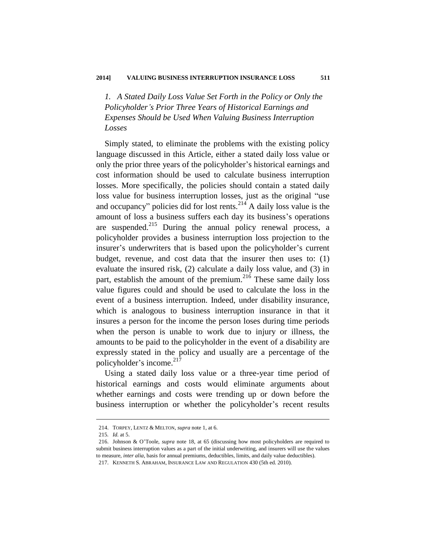*1. A Stated Daily Loss Value Set Forth in the Policy or Only the Policyholder's Prior Three Years of Historical Earnings and Expenses Should be Used When Valuing Business Interruption Losses*

Simply stated, to eliminate the problems with the existing policy language discussed in this Article, either a stated daily loss value or only the prior three years of the policyholder's historical earnings and cost information should be used to calculate business interruption losses. More specifically, the policies should contain a stated daily loss value for business interruption losses, just as the original "use and occupancy" policies did for lost rents. $^{214}$  A daily loss value is the amount of loss a business suffers each day its business's operations are suspended. $215$  During the annual policy renewal process, a policyholder provides a business interruption loss projection to the insurer's underwriters that is based upon the policyholder's current budget, revenue, and cost data that the insurer then uses to: (1) evaluate the insured risk, (2) calculate a daily loss value, and (3) in part, establish the amount of the premium. $216$  These same daily loss value figures could and should be used to calculate the loss in the event of a business interruption. Indeed, under disability insurance, which is analogous to business interruption insurance in that it insures a person for the income the person loses during time periods when the person is unable to work due to injury or illness, the amounts to be paid to the policyholder in the event of a disability are expressly stated in the policy and usually are a percentage of the policyholder's income.<sup>217</sup>

Using a stated daily loss value or a three-year time period of historical earnings and costs would eliminate arguments about whether earnings and costs were trending up or down before the business interruption or whether the policyholder's recent results

<sup>214.</sup> TORPEY, LENTZ & MELTON, *supra* note 1, at 6.

<sup>215</sup>*. Id.* at 5.

<sup>216.</sup> Johnson & O'Toole, *supra* note 18, at 65 (discussing how most policyholders are required to submit business interruption values as a part of the initial underwriting, and insurers will use the values to measure, *inter alia*, basis for annual premiums, deductibles, limits, and daily value deductibles). 217. KENNETH S. ABRAHAM, INSURANCE LAW AND REGULATION 430 (5th ed. 2010).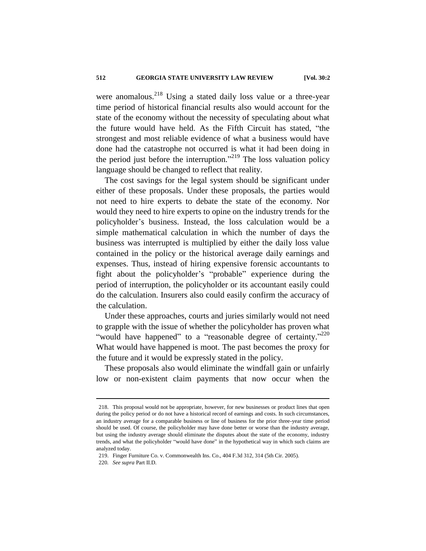were anomalous.<sup>218</sup> Using a stated daily loss value or a three-year time period of historical financial results also would account for the state of the economy without the necessity of speculating about what the future would have held. As the Fifth Circuit has stated, "the strongest and most reliable evidence of what a business would have done had the catastrophe not occurred is what it had been doing in the period just before the interruption."<sup>219</sup> The loss valuation policy language should be changed to reflect that reality.

The cost savings for the legal system should be significant under either of these proposals. Under these proposals, the parties would not need to hire experts to debate the state of the economy. Nor would they need to hire experts to opine on the industry trends for the policyholder's business. Instead, the loss calculation would be a simple mathematical calculation in which the number of days the business was interrupted is multiplied by either the daily loss value contained in the policy or the historical average daily earnings and expenses. Thus, instead of hiring expensive forensic accountants to fight about the policyholder's "probable" experience during the period of interruption, the policyholder or its accountant easily could do the calculation. Insurers also could easily confirm the accuracy of the calculation.

Under these approaches, courts and juries similarly would not need to grapple with the issue of whether the policyholder has proven what "would have happened" to a "reasonable degree of certainty."  $220$ What would have happened is moot. The past becomes the proxy for the future and it would be expressly stated in the policy.

These proposals also would eliminate the windfall gain or unfairly low or non-existent claim payments that now occur when the

<sup>218.</sup> This proposal would not be appropriate, however, for new businesses or product lines that open during the policy period or do not have a historical record of earnings and costs. In such circumstances, an industry average for a comparable business or line of business for the prior three-year time period should be used. Of course, the policyholder may have done better or worse than the industry average, but using the industry average should eliminate the disputes about the state of the economy, industry trends, and what the policyholder "would have done" in the hypothetical way in which such claims are analyzed today.

<sup>219.</sup> Finger Furniture Co. v. Commonwealth Ins. Co., 404 F.3d 312, 314 (5th Cir. 2005).

<sup>220</sup>*. See supra* Part II.D.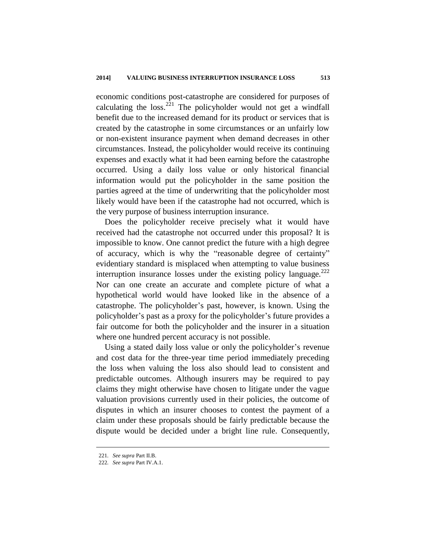economic conditions post-catastrophe are considered for purposes of calculating the loss. $^{221}$  The policyholder would not get a windfall benefit due to the increased demand for its product or services that is created by the catastrophe in some circumstances or an unfairly low or non-existent insurance payment when demand decreases in other circumstances. Instead, the policyholder would receive its continuing expenses and exactly what it had been earning before the catastrophe occurred. Using a daily loss value or only historical financial information would put the policyholder in the same position the parties agreed at the time of underwriting that the policyholder most likely would have been if the catastrophe had not occurred, which is the very purpose of business interruption insurance.

Does the policyholder receive precisely what it would have received had the catastrophe not occurred under this proposal? It is impossible to know. One cannot predict the future with a high degree of accuracy, which is why the "reasonable degree of certainty" evidentiary standard is misplaced when attempting to value business interruption insurance losses under the existing policy language. $^{222}$ Nor can one create an accurate and complete picture of what a hypothetical world would have looked like in the absence of a catastrophe. The policyholder's past, however, is known. Using the policyholder's past as a proxy for the policyholder's future provides a fair outcome for both the policyholder and the insurer in a situation where one hundred percent accuracy is not possible.

Using a stated daily loss value or only the policyholder's revenue and cost data for the three-year time period immediately preceding the loss when valuing the loss also should lead to consistent and predictable outcomes. Although insurers may be required to pay claims they might otherwise have chosen to litigate under the vague valuation provisions currently used in their policies, the outcome of disputes in which an insurer chooses to contest the payment of a claim under these proposals should be fairly predictable because the dispute would be decided under a bright line rule. Consequently,

<sup>221</sup>*. See supra* Part II.B.

<sup>222</sup>*. See supra* Part IV.A.1.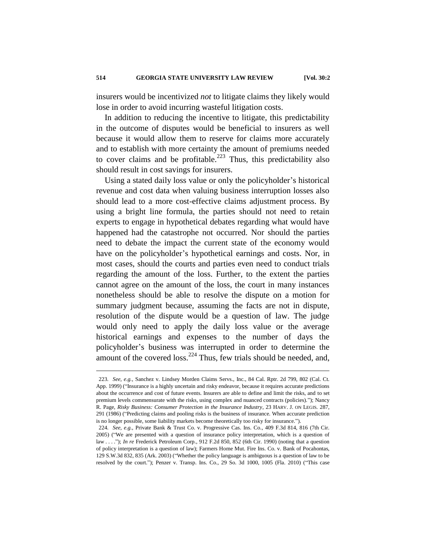insurers would be incentivized *not* to litigate claims they likely would lose in order to avoid incurring wasteful litigation costs.

In addition to reducing the incentive to litigate, this predictability in the outcome of disputes would be beneficial to insurers as well because it would allow them to reserve for claims more accurately and to establish with more certainty the amount of premiums needed to cover claims and be profitable.<sup>223</sup> Thus, this predictability also should result in cost savings for insurers.

Using a stated daily loss value or only the policyholder's historical revenue and cost data when valuing business interruption losses also should lead to a more cost-effective claims adjustment process. By using a bright line formula, the parties should not need to retain experts to engage in hypothetical debates regarding what would have happened had the catastrophe not occurred. Nor should the parties need to debate the impact the current state of the economy would have on the policyholder's hypothetical earnings and costs. Nor, in most cases, should the courts and parties even need to conduct trials regarding the amount of the loss. Further, to the extent the parties cannot agree on the amount of the loss, the court in many instances nonetheless should be able to resolve the dispute on a motion for summary judgment because, assuming the facts are not in dispute, resolution of the dispute would be a question of law. The judge would only need to apply the daily loss value or the average historical earnings and expenses to the number of days the policyholder's business was interrupted in order to determine the amount of the covered loss.<sup>224</sup> Thus, few trials should be needed, and,

<sup>223</sup>*. See, e.g.*, Sanchez v. Lindsey Morden Claims Servs., Inc*.*, 84 Cal. Rptr. 2d 799, 802 (Cal. Ct. App. 1999) ("Insurance is a highly uncertain and risky endeavor, because it requires accurate predictions about the occurrence and cost of future events. Insurers are able to define and limit the risks, and to set premium levels commensurate with the risks, using complex and nuanced contracts (policies)."); Nancy R. Page, *Risky Business: Consumer Protection in the Insurance Industry*, 23 HARV. J. ON LEGIS. 287, 291 (1986) ("Predicting claims and pooling risks is the business of insurance. When accurate prediction is no longer possible, some liability markets become theoretically too risky for insurance.").

<sup>224</sup>*. See, e.g.*, Private Bank & Trust Co. v. Progressive Cas. Ins. Co*.*, 409 F.3d 814, 816 (7th Cir. 2005) ("We are presented with a question of insurance policy interpretation, which is a question of law . . . ."); *In re* Frederick Petroleum Corp*.*, 912 F.2d 850, 852 (6th Cir. 1990) (noting that a question of policy interpretation is a question of law); Farmers Home Mut. Fire Ins. Co. v. Bank of Pocahontas, 129 S.W.3d 832, 835 (Ark. 2003) ("Whether the policy language is ambiguous is a question of law to be resolved by the court."); Penzer v. Transp. Ins. Co*.*, 29 So. 3d 1000, 1005 (Fla. 2010) ("This case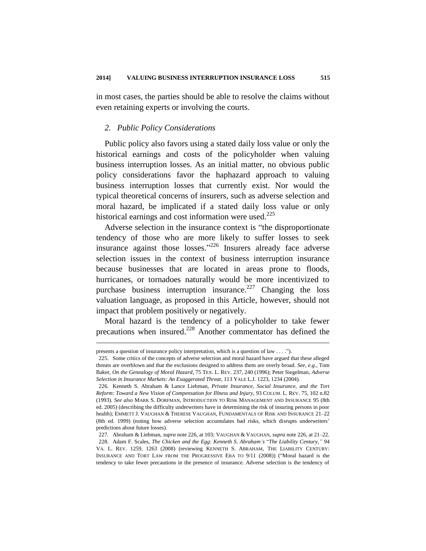in most cases, the parties should be able to resolve the claims without even retaining experts or involving the courts.

#### *2. Public Policy Considerations*

Public policy also favors using a stated daily loss value or only the historical earnings and costs of the policyholder when valuing business interruption losses. As an initial matter, no obvious public policy considerations favor the haphazard approach to valuing business interruption losses that currently exist. Nor would the typical theoretical concerns of insurers, such as adverse selection and moral hazard, be implicated if a stated daily loss value or only historical earnings and cost information were used. $225$ 

Adverse selection in the insurance context is "the disproportionate tendency of those who are more likely to suffer losses to seek insurance against those losses."<sup>226</sup> Insurers already face adverse selection issues in the context of business interruption insurance because businesses that are located in areas prone to floods, hurricanes, or tornadoes naturally would be more incentivized to purchase business interruption insurance.<sup>227</sup> Changing the loss valuation language, as proposed in this Article, however, should not impact that problem positively or negatively.

Moral hazard is the tendency of a policyholder to take fewer precautions when insured.<sup>228</sup> Another commentator has defined the

presents a question of insurance policy interpretation, which is a question of law . . . .").

<sup>225.</sup> Some critics of the concepts of adverse selection and moral hazard have argued that these alleged threats are overblown and that the exclusions designed to address them are overly broad. *See, e.g.*, Tom Baker, *On the Genealogy of Moral Hazard*, 75 TEX. L. REV. 237, 240 (1996); Peter Siegelman, *Adverse Selection in Insurance Markets: An Exaggerated Threat*, 113 YALE L.J. 1223, 1234 (2004).

<sup>226.</sup> Kenneth S. Abraham & Lance Liebman, *Private Insurance, Social Insurance, and the Tort Reform: Toward a New Vision of Compensation for Illness and Injury*, 93 COLUM. L. REV. 75, 102 n.82 (1993). *See also* MARK S. DORFMAN, INTRODUCTION TO RISK MANAGEMENT AND INSURANCE 95 (8th ed. 2005) (describing the difficulty underwriters have in determining the risk of insuring persons in poor health); EMMETT J. VAUGHAN & THERESE VAUGHAN, FUNDAMENTALS OF RISK AND INSURANCE 21–22 (8th ed. 1999) (noting how adverse selection accumulates bad risks, which disrupts underwriters' predictions about future losses).

<sup>227.</sup> Abraham & Liebman, *supra* note 226, at 103; VAUGHAN & VAUGHAN, *supra* note 226, at 21–22. 228. Adam F. Scales, *The Chicken and the Egg: Kenneth S. Abraham's* "*The Liability Century,"* 94 VA. L. REV. 1259, 1263 (2008) (reviewing KENNETH S. ABRAHAM, THE LIABILITY CENTURY: INSURANCE AND TORT LAW FROM THE PROGRESSIVE ERA TO 9/11 (2008)) ("Moral hazard is the tendency to take fewer precautions in the presence of insurance. Adverse selection is the tendency of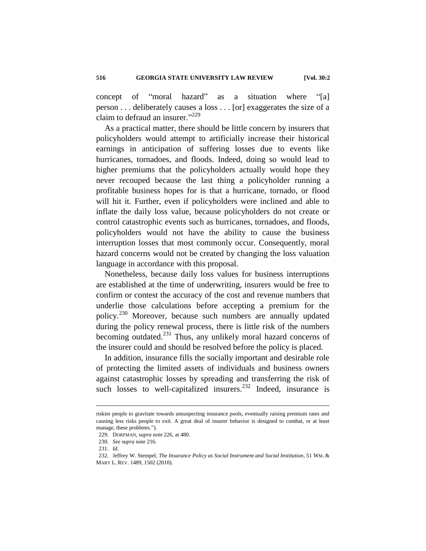concept of "moral hazard" as a situation where "[a] person . . . deliberately causes a loss . . . [or] exaggerates the size of a claim to defraud an insurer."<sup>229</sup>

As a practical matter, there should be little concern by insurers that policyholders would attempt to artificially increase their historical earnings in anticipation of suffering losses due to events like hurricanes, tornadoes, and floods. Indeed, doing so would lead to higher premiums that the policyholders actually would hope they never recouped because the last thing a policyholder running a profitable business hopes for is that a hurricane, tornado, or flood will hit it. Further, even if policyholders were inclined and able to inflate the daily loss value, because policyholders do not create or control catastrophic events such as hurricanes, tornadoes, and floods, policyholders would not have the ability to cause the business interruption losses that most commonly occur. Consequently, moral hazard concerns would not be created by changing the loss valuation language in accordance with this proposal.

Nonetheless, because daily loss values for business interruptions are established at the time of underwriting, insurers would be free to confirm or contest the accuracy of the cost and revenue numbers that underlie those calculations before accepting a premium for the policy.<sup>230</sup> Moreover, because such numbers are annually updated during the policy renewal process, there is little risk of the numbers becoming outdated.<sup>231</sup> Thus, any unlikely moral hazard concerns of the insurer could and should be resolved before the policy is placed.

In addition, insurance fills the socially important and desirable role of protecting the limited assets of individuals and business owners against catastrophic losses by spreading and transferring the risk of such losses to well-capitalized insurers.<sup>232</sup> Indeed, insurance is

riskier people to gravitate towards unsuspecting insurance pools, eventually raising premium rates and causing less risks people to exit. A great deal of insurer behavior is designed to combat, or at least manage, these problems.").

<sup>229.</sup> DORFMAN, *supra* note 226, at 480.

<sup>230</sup>*. See supra* note 216.

<sup>231</sup>*. Id.*

<sup>232.</sup> Jeffrey W. Stempel, *The Insurance Policy as Social Instrument and Social Institution*, 51 WM. & MARY L. REV. 1489, 1502 (2010).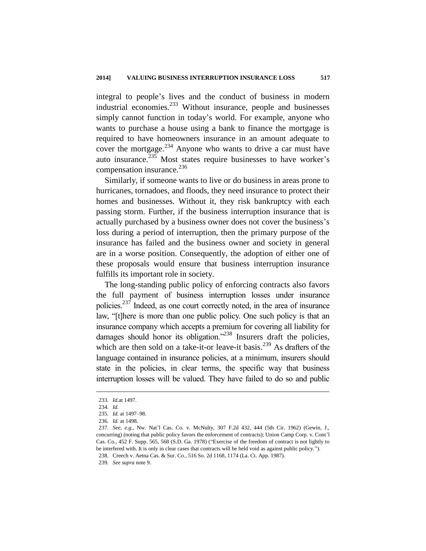integral to people's lives and the conduct of business in modern industrial economies.<sup>233</sup> Without insurance, people and businesses simply cannot function in today's world. For example, anyone who wants to purchase a house using a bank to finance the mortgage is required to have homeowners insurance in an amount adequate to cover the mortgage.<sup>234</sup> Anyone who wants to drive a car must have auto insurance.<sup>235</sup> Most states require businesses to have worker's compensation insurance.<sup>236</sup>

Similarly, if someone wants to live or do business in areas prone to hurricanes, tornadoes, and floods, they need insurance to protect their homes and businesses. Without it, they risk bankruptcy with each passing storm. Further, if the business interruption insurance that is actually purchased by a business owner does not cover the business's loss during a period of interruption, then the primary purpose of the insurance has failed and the business owner and society in general are in a worse position. Consequently, the adoption of either one of these proposals would ensure that business interruption insurance fulfills its important role in society.

The long-standing public policy of enforcing contracts also favors the full payment of business interruption losses under insurance policies.<sup>237</sup> Indeed, as one court correctly noted, in the area of insurance law, "[t]here is more than one public policy. One such policy is that an insurance company which accepts a premium for covering all liability for damages should honor its obligation."<sup>238</sup> Insurers draft the policies, which are then sold on a take-it-or leave-it basis.<sup>239</sup> As drafters of the language contained in insurance policies, at a minimum, insurers should state in the policies, in clear terms, the specific way that business interruption losses will be valued. They have failed to do so and public

1

239*. See supra* note 9.

<sup>233</sup>*. Id.*at 1497.

<sup>234</sup>*. Id.*

<sup>235</sup>*. Id.* at 1497–98.

<sup>236</sup>*. Id.* at 1498.

<sup>237</sup>*. See, e.g.*, Nw. Nat'l Cas. Co. v. McNulty, 307 F.2d 432, 444 (5th Cir. 1962) (Gewin, J., concurring) (noting that public policy favors the enforcement of contracts); Union Camp Corp. v. Cont'l Cas. Co*.,* 452 F. Supp. 565, 568 (S.D. Ga. 1978) ("Exercise of the freedom of contract is not lightly to be interfered with. It is only in clear cases that contracts will be held void as against public policy."). 238. Creech v. Aetna Cas. & Sur. Co*.,* 516 So. 2d 1168, 1174 (La. Ct. App. 1987).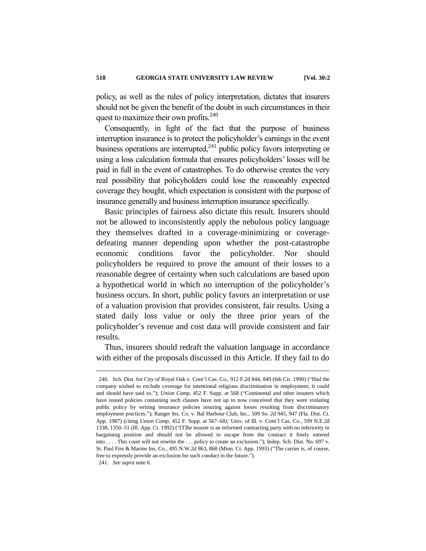policy, as well as the rules of policy interpretation, dictates that insurers should not be given the benefit of the doubt in such circumstances in their quest to maximize their own profits. $240$ 

Consequently, in light of the fact that the purpose of business interruption insurance is to protect the policyholder's earnings in the event business operations are interrupted, $^{241}$  public policy favors interpreting or using a loss calculation formula that ensures policyholders' losses will be paid in full in the event of catastrophes. To do otherwise creates the very real possibility that policyholders could lose the reasonably expected coverage they bought, which expectation is consistent with the purpose of insurance generally and business interruption insurance specifically.

Basic principles of fairness also dictate this result. Insurers should not be allowed to inconsistently apply the nebulous policy language they themselves drafted in a coverage-minimizing or coveragedefeating manner depending upon whether the post-catastrophe economic conditions favor the policyholder. Nor should policyholders be required to prove the amount of their losses to a reasonable degree of certainty when such calculations are based upon a hypothetical world in which no interruption of the policyholder's business occurs. In short, public policy favors an interpretation or use of a valuation provision that provides consistent, fair results. Using a stated daily loss value or only the three prior years of the policyholder's revenue and cost data will provide consistent and fair results.

Thus, insurers should redraft the valuation language in accordance with either of the proposals discussed in this Article. If they fail to do

<sup>240.</sup> Sch. Dist. for City of Royal Oak v. Cont'l Cas. Co., 912 F.2d 844, 849 (6th Cir. 1990) ("Had the company wished to exclude coverage for intentional religious discrimination in employment, it could and should have said so."); *Union Camp*, 452 F. Supp. at 568 ("Continental and other insurers which have issued policies containing such clauses have not up to now conceived that they were violating public policy by writing insurance policies insuring against losses resulting from discriminatory employment practices."); Ranger Ins. Co. v. Bal Harbour Club, Inc*.,* 509 So. 2d 945, 947 (Fla. Dist. Ct. App. 1987) (citing *Union Camp*, 452 F. Supp. at 567–68*);* Univ. of Ill. v. Cont'l Cas. Co*.,* 599 N.E.2d 1338, 1350–51 (Ill. App. Ct. 1992) ("[T]he insurer is an informed contracting party with no inferiority in bargaining position and should not be allowed to escape from the contract it freely entered into . . . . This court will not rewrite the . . . policy to create an exclusion."); Indep. Sch. Dist. No. 697 v. St. Paul Fire & Marine Ins. Co*.,* 495 N.W.2d 863, 868 (Minn. Ct. App. 1993) ("The carrier is, of course, free to expressly provide an exclusion for such conduct in the future.").

<sup>241</sup>*. See supra* note 6.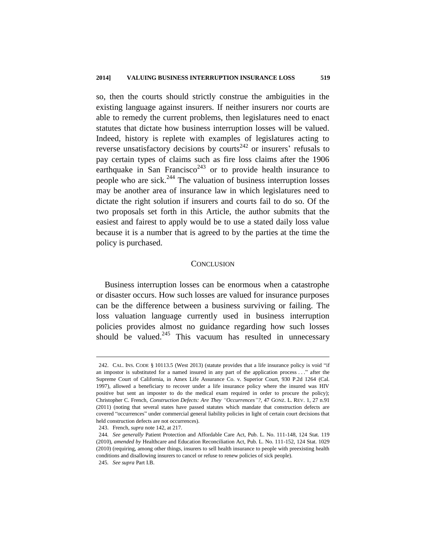so, then the courts should strictly construe the ambiguities in the existing language against insurers. If neither insurers nor courts are able to remedy the current problems, then legislatures need to enact statutes that dictate how business interruption losses will be valued. Indeed, history is replete with examples of legislatures acting to reverse unsatisfactory decisions by courts<sup>242</sup> or insurers' refusals to pay certain types of claims such as fire loss claims after the 1906 earthquake in San Francisco<sup>243</sup> or to provide health insurance to people who are sick. $^{244}$  The valuation of business interruption losses may be another area of insurance law in which legislatures need to dictate the right solution if insurers and courts fail to do so. Of the two proposals set forth in this Article, the author submits that the easiest and fairest to apply would be to use a stated daily loss value because it is a number that is agreed to by the parties at the time the policy is purchased.

#### **CONCLUSION**

Business interruption losses can be enormous when a catastrophe or disaster occurs. How such losses are valued for insurance purposes can be the difference between a business surviving or failing. The loss valuation language currently used in business interruption policies provides almost no guidance regarding how such losses should be valued. $245$  This vacuum has resulted in unnecessary

<sup>242.</sup> CAL. INS. CODE § 10113.5 (West 2013) (statute provides that a life insurance policy is void "if an impostor is substituted for a named insured in any part of the application process . . ." after the Supreme Court of California, in Amex Life Assurance Co. v. Superior Court, 930 P.2d 1264 (Cal. 1997), allowed a beneficiary to recover under a life insurance policy where the insured was HIV positive but sent an imposter to do the medical exam required in order to procure the policy); Christopher C. French, *Construction Defects: Are They "Occurrences"?*, 47 GONZ. L. REV. 1, 27 n.91 (2011) (noting that several states have passed statutes which mandate that construction defects are covered "occurrences" under commercial general liability policies in light of certain court decisions that held construction defects are not occurrences).

<sup>243.</sup> French, *supra* note 142, at 217.

<sup>244</sup>*. See generally* Patient Protection and Affordable Care Act, Pub. L. No. 111-148, 124 Stat. 119 (2010), *amended by* Healthcare and Education Reconciliation Act, Pub. L. No. 111-152, 124 Stat. 1029 (2010) (requiring, among other things, insurers to sell health insurance to people with preexisting health conditions and disallowing insurers to cancel or refuse to renew policies of sick people). 245*. See supra* Part I.B.